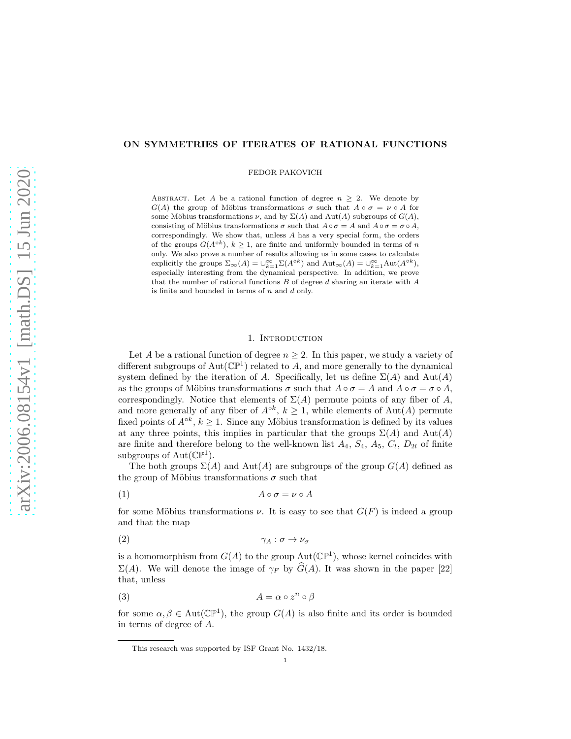# ON SYMMETRIES OF ITERATES OF RATIONAL FUNCTIONS

FEDOR PAKOVICH

ABSTRACT. Let A be a rational function of degree  $n \geq 2$ . We denote by  $G(A)$  the group of Möbius transformations  $\sigma$  such that  $A \circ \sigma = \nu \circ A$  for some Möbius transformations  $\nu$ , and by  $\Sigma(A)$  and  $Aut(A)$  subgroups of  $G(A)$ , consisting of Möbius transformations  $\sigma$  such that  $A \circ \sigma = A$  and  $A \circ \sigma = \sigma \circ A$ , correspondingly. We show that, unless A has a very special form, the orders of the groups  $G(A^{\circ k})$ ,  $k \geq 1$ , are finite and uniformly bounded in terms of n only. We also prove a number of results allowing us in some cases to calculate explicitly the groups  $\Sigma_{\infty}(A) = \bigcup_{k=1}^{\infty} \Sigma(A^{\circ k})$  and  $\mathrm{Aut}_{\infty}(A) = \bigcup_{k=1}^{\infty} \mathrm{Aut}(A^{\circ k})$ , especially interesting from the dynamical perspective. In addition, we prove that the number of rational functions  $B$  of degree  $d$  sharing an iterate with  $A$ is finite and bounded in terms of  $n$  and  $d$  only.

# 1. INTRODUCTION

Let A be a rational function of degree  $n \geq 2$ . In this paper, we study a variety of different subgroups of  $Aut(\mathbb{CP}^1)$  related to A, and more generally to the dynamical system defined by the iteration of A. Specifically, let us define  $\Sigma(A)$  and  $\text{Aut}(A)$ as the groups of Möbius transformations  $\sigma$  such that  $A \circ \sigma = A$  and  $A \circ \sigma = \sigma \circ A$ , correspondingly. Notice that elements of  $\Sigma(A)$  permute points of any fiber of A, and more generally of any fiber of  $A^{\circ k}$ ,  $k \ge 1$ , while elements of Aut(A) permute fixed points of  $A^{\circ k}$ ,  $k \geq 1$ . Since any Möbius transformation is defined by its values at any three points, this implies in particular that the groups  $\Sigma(A)$  and  $Aut(A)$ are finite and therefore belong to the well-known list  $A_4$ ,  $S_4$ ,  $A_5$ ,  $C_l$ ,  $D_{2l}$  of finite subgroups of  $Aut(\mathbb{CP}^1)$ .

The both groups  $\Sigma(A)$  and  $Aut(A)$  are subgroups of the group  $G(A)$  defined as the group of Möbius transformations  $\sigma$  such that

$$
(1) \t\t A \circ \sigma = \nu \circ A
$$

for some Möbius transformations  $\nu$ . It is easy to see that  $G(F)$  is indeed a group and that the map

$$
\gamma_A : \sigma \to \nu_\sigma
$$

is a homomorphism from  $G(A)$  to the group  $Aut(\mathbb{CP}^1)$ , whose kernel coincides with  $\Sigma(A)$ . We will denote the image of  $\gamma_F$  by  $\widehat{G}(A)$ . It was shown in the paper [22] that, unless

$$
(3) \t\t A = \alpha \circ z^n \circ \beta
$$

for some  $\alpha, \beta \in \text{Aut}(\mathbb{CP}^1)$ , the group  $G(A)$  is also finite and its order is bounded in terms of degree of A.

This research was supported by ISF Grant No. 1432/18.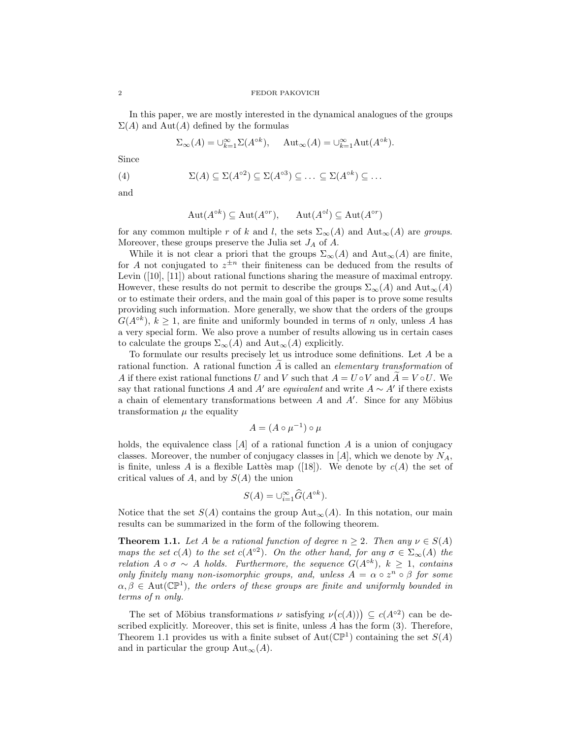In this paper, we are mostly interested in the dynamical analogues of the groups  $\Sigma(A)$  and  $Aut(A)$  defined by the formulas

$$
\Sigma_{\infty}(A) = \bigcup_{k=1}^{\infty} \Sigma(A^{\circ k}), \quad \text{Aut}_{\infty}(A) = \bigcup_{k=1}^{\infty} \text{Aut}(A^{\circ k}).
$$

Since

(4) 
$$
\Sigma(A) \subseteq \Sigma(A^{\circ 2}) \subseteq \Sigma(A^{\circ 3}) \subseteq \ldots \subseteq \Sigma(A^{\circ k}) \subseteq \ldots
$$

and

$$
Aut(A^{\circ k}) \subseteq Aut(A^{\circ r}), \qquad Aut(A^{\circ l}) \subseteq Aut(A^{\circ r})
$$

for any common multiple r of k and l, the sets  $\Sigma_{\infty}(A)$  and  $\text{Aut}_{\infty}(A)$  are groups. Moreover, these groups preserve the Julia set  $J_A$  of A.

While it is not clear a priori that the groups  $\Sigma_{\infty}(A)$  and  $Aut_{\infty}(A)$  are finite, for A not conjugated to  $z^{\pm n}$  their finiteness can be deduced from the results of Levin ([10], [11]) about rational functions sharing the measure of maximal entropy. However, these results do not permit to describe the groups  $\Sigma_{\infty}(A)$  and  $\text{Aut}_{\infty}(A)$ or to estimate their orders, and the main goal of this paper is to prove some results providing such information. More generally, we show that the orders of the groups  $G(A^{\circ k})$ ,  $k \geq 1$ , are finite and uniformly bounded in terms of n only, unless A has a very special form. We also prove a number of results allowing us in certain cases to calculate the groups  $\Sigma_{\infty}(A)$  and  $\text{Aut}_{\infty}(A)$  explicitly.

To formulate our results precisely let us introduce some definitions. Let A be a rational function. A rational function  $A$  is called an *elementary transformation* of A if there exist rational functions U and V such that  $A = U \circ V$  and  $A = V \circ U$ . We say that rational functions A and A' are *equivalent* and write  $A \sim A'$  if there exists a chain of elementary transformations between  $A$  and  $A'$ . Since for any Möbius transformation  $\mu$  the equality

$$
A = (A \circ \mu^{-1}) \circ \mu
$$

holds, the equivalence class  $[A]$  of a rational function A is a union of conjugacy classes. Moreover, the number of conjugacy classes in  $[A]$ , which we denote by  $N_A$ , is finite, unless A is a flexible Lattès map ([18]). We denote by  $c(A)$  the set of critical values of A, and by  $S(A)$  the union

$$
S(A) = \bigcup_{i=1}^{\infty} \widehat{G}(A^{\circ k}).
$$

Notice that the set  $S(A)$  contains the group  $Aut_{\infty}(A)$ . In this notation, our main results can be summarized in the form of the following theorem.

**Theorem 1.1.** Let A be a rational function of degree  $n > 2$ . Then any  $\nu \in S(A)$ maps the set  $c(A)$  to the set  $c(A^{\circ 2})$ . On the other hand, for any  $\sigma \in \Sigma_{\infty}(A)$  the relation  $A \circ \sigma \sim A$  holds. Furthermore, the sequence  $G(A^{\circ k})$ ,  $k \geq 1$ , contains only finitely many non-isomorphic groups, and, unless  $A = \alpha \circ z^n \circ \beta$  for some  $\alpha, \beta \in \text{Aut}(\mathbb{CP}^1)$ , the orders of these groups are finite and uniformly bounded in terms of n only.

The set of Möbius transformations  $\nu$  satisfying  $\nu(c(A)) \subseteq c(A^{\circ 2})$  can be described explicitly. Moreover, this set is finite, unless A has the form (3). Therefore, Theorem 1.1 provides us with a finite subset of  $Aut(\mathbb{CP}^1)$  containing the set  $S(A)$ and in particular the group  $\text{Aut}_{\infty}(A)$ .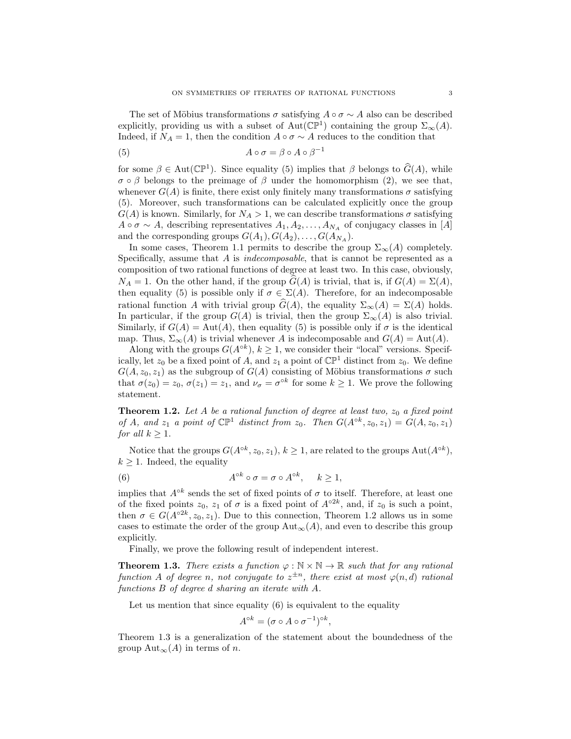The set of Möbius transformations  $\sigma$  satisfying  $A \circ \sigma \sim A$  also can be described explicitly, providing us with a subset of Aut( $\mathbb{CP}^1$ ) containing the group  $\Sigma_{\infty}(A)$ . Indeed, if  $N_A = 1$ , then the condition  $A \circ \sigma \sim A$  reduces to the condition that

(5) 
$$
A \circ \sigma = \beta \circ A \circ \beta^{-1}
$$

for some  $\beta \in \text{Aut}(\mathbb{CP}^1)$ . Since equality (5) implies that  $\beta$  belongs to  $\widehat{G}(A)$ , while  $\sigma \circ \beta$  belongs to the preimage of  $\beta$  under the homomorphism (2), we see that, whenever  $G(A)$  is finite, there exist only finitely many transformations  $\sigma$  satisfying (5). Moreover, such transformations can be calculated explicitly once the group  $G(A)$  is known. Similarly, for  $N_A > 1$ , we can describe transformations  $\sigma$  satisfying  $A \circ \sigma \sim A$ , describing representatives  $A_1, A_2, \ldots, A_{N_A}$  of conjugacy classes in [A] and the corresponding groups  $G(A_1), G(A_2), \ldots, G(A_{N_A}).$ 

In some cases, Theorem 1.1 permits to describe the group  $\Sigma_{\infty}(A)$  completely. Specifically, assume that  $A$  is *indecomposable*, that is cannot be represented as a composition of two rational functions of degree at least two. In this case, obviously,  $N_A = 1$ . On the other hand, if the group  $G(A)$  is trivial, that is, if  $G(A) = \Sigma(A)$ , then equality (5) is possible only if  $\sigma \in \Sigma(A)$ . Therefore, for an indecomposable rational function A with trivial group  $\hat{G}(A)$ , the equality  $\Sigma_{\infty}(A) = \Sigma(A)$  holds. In particular, if the group  $G(A)$  is trivial, then the group  $\Sigma_{\infty}(A)$  is also trivial. Similarly, if  $G(A) = Aut(A)$ , then equality (5) is possible only if  $\sigma$  is the identical map. Thus,  $\Sigma_{\infty}(A)$  is trivial whenever A is indecomposable and  $G(A) = \text{Aut}(A)$ .

Along with the groups  $G(A^{ok})$ ,  $k \geq 1$ , we consider their "local" versions. Specifically, let  $z_0$  be a fixed point of A, and  $z_1$  a point of  $\mathbb{CP}^1$  distinct from  $z_0$ . We define  $G(A, z_0, z_1)$  as the subgroup of  $G(A)$  consisting of Möbius transformations  $\sigma$  such that  $\sigma(z_0) = z_0$ ,  $\sigma(z_1) = z_1$ , and  $\nu_{\sigma} = \sigma^{\circ k}$  for some  $k \geq 1$ . We prove the following statement.

**Theorem 1.2.** Let A be a rational function of degree at least two,  $z_0$  a fixed point of A, and  $z_1$  a point of  $\mathbb{CP}^1$  distinct from  $z_0$ . Then  $G(A^{\circ k}, z_0, z_1) = G(A, z_0, z_1)$ for all  $k \geq 1$ .

Notice that the groups  $G(A^{\circ k}, z_0, z_1), k \ge 1$ , are related to the groups  $Aut(A^{\circ k}),$  $k \geq 1$ . Indeed, the equality

(6) 
$$
A^{\circ k} \circ \sigma = \sigma \circ A^{\circ k}, \quad k \ge 1,
$$

implies that  $A^{\circ k}$  sends the set of fixed points of  $\sigma$  to itself. Therefore, at least one of the fixed points  $z_0$ ,  $z_1$  of  $\sigma$  is a fixed point of  $A^{\circ 2k}$ , and, if  $z_0$  is such a point, then  $\sigma \in G(A^{\circ 2k}, z_0, z_1)$ . Due to this connection, Theorem 1.2 allows us in some cases to estimate the order of the group  $\text{Aut}_{\infty}(A)$ , and even to describe this group explicitly.

Finally, we prove the following result of independent interest.

**Theorem 1.3.** There exists a function  $\varphi : \mathbb{N} \times \mathbb{N} \to \mathbb{R}$  such that for any rational function A of degree n, not conjugate to  $z^{\pm n}$ , there exist at most  $\varphi(n,d)$  rational functions B of degree d sharing an iterate with A.

Let us mention that since equality  $(6)$  is equivalent to the equality

$$
A^{\circ k} = (\sigma \circ A \circ \sigma^{-1})^{\circ k},
$$

Theorem 1.3 is a generalization of the statement about the boundedness of the group Aut<sub>∞</sub> $(A)$  in terms of *n*.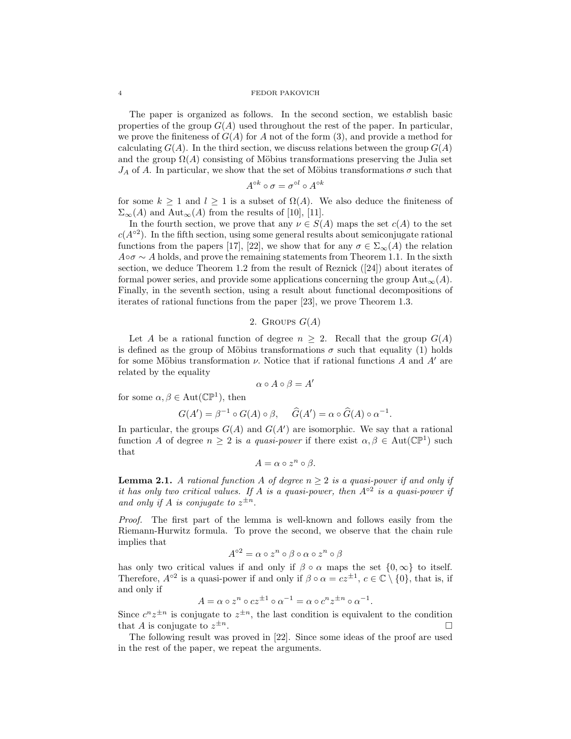The paper is organized as follows. In the second section, we establish basic properties of the group  $G(A)$  used throughout the rest of the paper. In particular, we prove the finiteness of  $G(A)$  for A not of the form (3), and provide a method for calculating  $G(A)$ . In the third section, we discuss relations between the group  $G(A)$ and the group  $\Omega(A)$  consisting of Möbius transformations preserving the Julia set  $J_A$  of A. In particular, we show that the set of Möbius transformations  $\sigma$  such that

$$
A^{\circ k} \circ \sigma = \sigma^{\circ l} \circ A^{\circ k}
$$

for some  $k \geq 1$  and  $l \geq 1$  is a subset of  $\Omega(A)$ . We also deduce the finiteness of  $\Sigma_{\infty}(A)$  and  $\text{Aut}_{\infty}(A)$  from the results of [10], [11].

In the fourth section, we prove that any  $\nu \in S(A)$  maps the set  $c(A)$  to the set  $c(A^{\circ 2})$ . In the fifth section, using some general results about semiconjugate rational functions from the papers [17], [22], we show that for any  $\sigma \in \Sigma_{\infty}(A)$  the relation  $A \circ \sigma \sim A$  holds, and prove the remaining statements from Theorem 1.1. In the sixth section, we deduce Theorem 1.2 from the result of Reznick  $(24)$  about iterates of formal power series, and provide some applications concerning the group  $\text{Aut}_{\infty}(A)$ . Finally, in the seventh section, using a result about functional decompositions of iterates of rational functions from the paper [23], we prove Theorem 1.3.

# 2. GROUPS  $G(A)$

Let A be a rational function of degree  $n \geq 2$ . Recall that the group  $G(A)$ is defined as the group of Möbius transformations  $\sigma$  such that equality (1) holds for some Möbius transformation  $\nu$ . Notice that if rational functions A and A' are related by the equality

$$
\alpha \circ A \circ \beta = A'
$$

for some  $\alpha, \beta \in \text{Aut}(\mathbb{CP}^1)$ , then

$$
G(A') = \beta^{-1} \circ G(A) \circ \beta, \quad \widehat{G}(A') = \alpha \circ \widehat{G}(A) \circ \alpha^{-1}
$$

.

In particular, the groups  $G(A)$  and  $G(A')$  are isomorphic. We say that a rational function A of degree  $n \geq 2$  is a quasi-power if there exist  $\alpha, \beta \in Aut(\mathbb{CP}^1)$  such that

$$
A = \alpha \circ z^n \circ \beta.
$$

**Lemma 2.1.** A rational function A of degree  $n \geq 2$  is a quasi-power if and only if it has only two critical values. If A is a quasi-power, then  $A^{\circ 2}$  is a quasi-power if and only if A is conjugate to  $z^{\pm n}$ .

Proof. The first part of the lemma is well-known and follows easily from the Riemann-Hurwitz formula. To prove the second, we observe that the chain rule implies that

$$
A^{\circ 2} = \alpha \circ z^n \circ \beta \circ \alpha \circ z^n \circ \beta
$$

has only two critical values if and only if  $\beta \circ \alpha$  maps the set  $\{0,\infty\}$  to itself. Therefore,  $A^{\circ 2}$  is a quasi-power if and only if  $\beta \circ \alpha = cz^{\pm 1}$ ,  $c \in \mathbb{C} \setminus \{0\}$ , that is, if and only if

$$
A = \alpha \circ z^n \circ cz^{\pm 1} \circ \alpha^{-1} = \alpha \circ c^n z^{\pm n} \circ \alpha^{-1}.
$$

Since  $c^n z^{\pm n}$  is conjugate to  $z^{\pm n}$ , the last condition is equivalent to the condition that A is conjugate to  $z^{\pm n}$ .  $\pm n$ .

The following result was proved in [22]. Since some ideas of the proof are used in the rest of the paper, we repeat the arguments.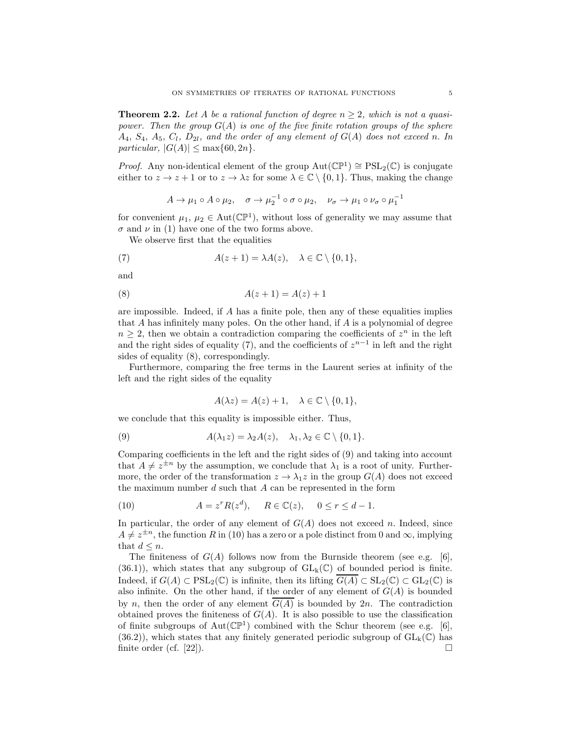**Theorem 2.2.** Let A be a rational function of degree  $n \geq 2$ , which is not a quasipower. Then the group  $G(A)$  is one of the five finite rotation groups of the sphere  $A_4, S_4, A_5, C_1, D_{2l}$ , and the order of any element of  $G(A)$  does not exceed n. In particular,  $|G(A)| \leq \max\{60, 2n\}.$ 

*Proof.* Any non-identical element of the group  $Aut(\mathbb{CP}^1) \cong PSL_2(\mathbb{C})$  is conjugate either to  $z \to z + 1$  or to  $z \to \lambda z$  for some  $\lambda \in \mathbb{C} \setminus \{0, 1\}$ . Thus, making the change

$$
A \to \mu_1 \circ A \circ \mu_2, \quad \sigma \to \mu_2^{-1} \circ \sigma \circ \mu_2, \quad \nu_\sigma \to \mu_1 \circ \nu_\sigma \circ \mu_1^{-1}
$$

for convenient  $\mu_1, \mu_2 \in \text{Aut}(\mathbb{CP}^1)$ , without loss of generality we may assume that  $\sigma$  and  $\nu$  in (1) have one of the two forms above.

We observe first that the equalities

(7) 
$$
A(z+1) = \lambda A(z), \quad \lambda \in \mathbb{C} \setminus \{0,1\},\
$$

and

(8) 
$$
A(z+1) = A(z) + 1
$$

are impossible. Indeed, if  $A$  has a finite pole, then any of these equalities implies that A has infinitely many poles. On the other hand, if  $A$  is a polynomial of degree  $n \geq 2$ , then we obtain a contradiction comparing the coefficients of  $z^n$  in the left and the right sides of equality (7), and the coefficients of  $z^{n-1}$  in left and the right sides of equality (8), correspondingly.

Furthermore, comparing the free terms in the Laurent series at infinity of the left and the right sides of the equality

$$
A(\lambda z) = A(z) + 1, \quad \lambda \in \mathbb{C} \setminus \{0, 1\},\
$$

we conclude that this equality is impossible either. Thus,

(9) 
$$
A(\lambda_1 z) = \lambda_2 A(z), \quad \lambda_1, \lambda_2 \in \mathbb{C} \setminus \{0, 1\}.
$$

Comparing coefficients in the left and the right sides of (9) and taking into account that  $A \neq z^{\pm n}$  by the assumption, we conclude that  $\lambda_1$  is a root of unity. Furthermore, the order of the transformation  $z \to \lambda_1 z$  in the group  $G(A)$  does not exceed the maximum number  $d$  such that  $A$  can be represented in the form

(10) 
$$
A = z^r R(z^d), \quad R \in \mathbb{C}(z), \quad 0 \le r \le d - 1.
$$

In particular, the order of any element of  $G(A)$  does not exceed n. Indeed, since  $A \neq z^{\pm n}$ , the function R in (10) has a zero or a pole distinct from 0 and  $\infty$ , implying that  $d \leq n$ .

The finiteness of  $G(A)$  follows now from the Burnside theorem (see e.g. [6], (36.1)), which states that any subgroup of  $GL_k(\mathbb{C})$  of bounded period is finite. Indeed, if  $G(A) \subset \text{PSL}_2(\mathbb{C})$  is infinite, then its lifting  $\overline{G(A)} \subset \text{SL}_2(\mathbb{C}) \subset \text{GL}_2(\mathbb{C})$  is also infinite. On the other hand, if the order of any element of  $G(A)$  is bounded by n, then the order of any element  $\overline{G(A)}$  is bounded by 2n. The contradiction obtained proves the finiteness of  $G(A)$ . It is also possible to use the classification of finite subgroups of  $Aut(\mathbb{CP}^1)$  combined with the Schur theorem (see e.g. [6],  $(36.2)$ , which states that any finitely generated periodic subgroup of  $GL_k(\mathbb{C})$  has finite order (cf. [22]).  $\Box$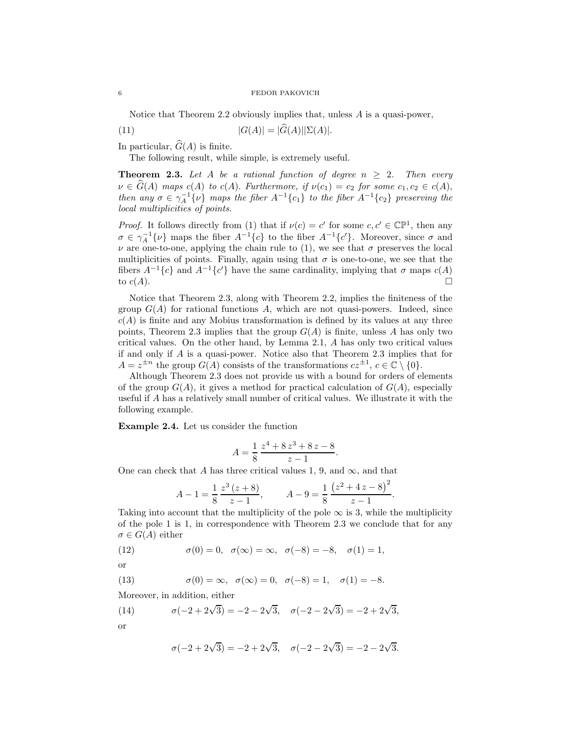Notice that Theorem 2.2 obviously implies that, unless A is a quasi-power,

(11) 
$$
|G(A)| = |G(A)| |\Sigma(A)|.
$$

In particular,  $\widehat{G}(A)$  is finite.

The following result, while simple, is extremely useful.

**Theorem 2.3.** Let A be a rational function of degree  $n \geq 2$ . Then every  $\nu \in \widehat{G}(A)$  maps  $c(A)$  to  $c(A)$ . Furthermore, if  $\nu(c_1) = c_2$  for some  $c_1, c_2 \in c(A)$ , then any  $\sigma \in \gamma_A^{-1}{\{\nu\}}$  maps the fiber  $A^{-1}{c_1}$  to the fiber  $A^{-1}{c_2}$  preserving the local multiplicities of points.

*Proof.* It follows directly from (1) that if  $\nu(c) = c'$  for some  $c, c' \in \mathbb{CP}^1$ , then any  $\sigma \in \gamma_A^{-1}{\{\nu\}}$  maps the fiber  $A^{-1}{c}$  to the fiber  $A^{-1}{c'}$ . Moreover, since  $\sigma$  and  $\nu$  are one-to-one, applying the chain rule to (1), we see that  $\sigma$  preserves the local multiplicities of points. Finally, again using that  $\sigma$  is one-to-one, we see that the fibers  $A^{-1}{c}$  and  $A^{-1}{c'}$  have the same cardinality, implying that  $\sigma$  maps  $c(A)$ to  $c(A)$ .

Notice that Theorem 2.3, along with Theorem 2.2, implies the finiteness of the group  $G(A)$  for rational functions A, which are not quasi-powers. Indeed, since  $c(A)$  is finite and any Mobius transformation is defined by its values at any three points, Theorem 2.3 implies that the group  $G(A)$  is finite, unless A has only two critical values. On the other hand, by Lemma 2.1, A has only two critical values if and only if A is a quasi-power. Notice also that Theorem 2.3 implies that for  $A = z^{\pm n}$  the group  $G(A)$  consists of the transformations  $cz^{\pm 1}$ ,  $c \in \mathbb{C} \setminus \{0\}$ .

Although Theorem 2.3 does not provide us with a bound for orders of elements of the group  $G(A)$ , it gives a method for practical calculation of  $G(A)$ , especially useful if A has a relatively small number of critical values. We illustrate it with the following example.

Example 2.4. Let us consider the function

$$
A = \frac{1}{8} \frac{z^4 + 8z^3 + 8z - 8}{z - 1}.
$$

One can check that A has three critical values 1, 9, and  $\infty$ , and that

$$
A - 1 = \frac{1}{8} \frac{z^3 (z + 8)}{z - 1}, \qquad A - 9 = \frac{1}{8} \frac{(z^2 + 4z - 8)^2}{z - 1}.
$$

Taking into account that the multiplicity of the pole  $\infty$  is 3, while the multiplicity of the pole 1 is 1, in correspondence with Theorem 2.3 we conclude that for any  $\sigma \in G(A)$  either

(12) 
$$
\sigma(0) = 0, \quad \sigma(\infty) = \infty, \quad \sigma(-8) = -8, \quad \sigma(1) = 1,
$$

or

(13) 
$$
\sigma(0) = \infty, \ \sigma(\infty) = 0, \ \sigma(-8) = 1, \ \sigma(1) = -8.
$$

Moreover, in addition, either

(14) 
$$
\sigma(-2+2\sqrt{3}) = -2 - 2\sqrt{3}, \quad \sigma(-2-2\sqrt{3}) = -2 + 2\sqrt{3},
$$
or

$$
\sigma(-2 + 2\sqrt{3}) = -2 + 2\sqrt{3}, \quad \sigma(-2 - 2\sqrt{3}) = -2 - 2\sqrt{3}.
$$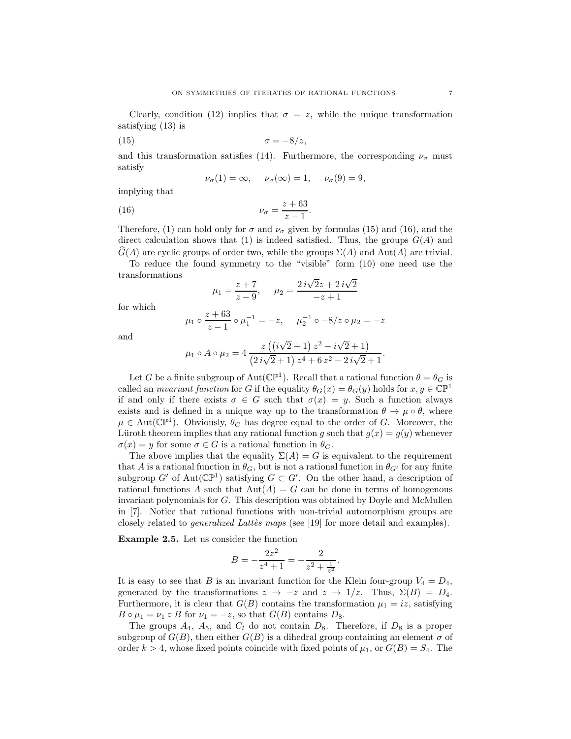Clearly, condition (12) implies that  $\sigma = z$ , while the unique transformation satisfying (13) is

$$
\sigma = -8/z,
$$

and this transformation satisfies (14). Furthermore, the corresponding  $\nu_{\sigma}$  must satisfy

$$
\nu_{\sigma}(1) = \infty, \quad \nu_{\sigma}(\infty) = 1, \quad \nu_{\sigma}(9) = 9,
$$

implying that

$$
\nu_{\sigma} = \frac{z + 63}{z - 1}.
$$

Therefore, (1) can hold only for  $\sigma$  and  $\nu_{\sigma}$  given by formulas (15) and (16), and the direct calculation shows that (1) is indeed satisfied. Thus, the groups  $G(A)$  and  $G(A)$  are cyclic groups of order two, while the groups  $\Sigma(A)$  and Aut(A) are trivial.

To reduce the found symmetry to the "visible" form (10) one need use the transformations

$$
\mu_1 = \frac{z+7}{z-9}, \quad \mu_2 = \frac{2i\sqrt{2}z + 2i\sqrt{2}}{-z+1}
$$

for which

$$
\mu_1 \circ \frac{z+63}{z-1} \circ \mu_1^{-1} = -z, \quad \mu_2^{-1} \circ -8/z \circ \mu_2 = -z
$$

and

$$
\mu_1 \circ A \circ \mu_2 = 4 \frac{z ((i\sqrt{2} + 1) z^2 - i\sqrt{2} + 1)}{(2 i\sqrt{2} + 1) z^4 + 6 z^2 - 2 i\sqrt{2} + 1}.
$$

Let G be a finite subgroup of Aut( $\mathbb{CP}^1$ ). Recall that a rational function  $\theta = \theta_G$  is called an *invariant function* for G if the equality  $\theta_G(x) = \theta_G(y)$  holds for  $x, y \in \mathbb{CP}^1$ if and only if there exists  $\sigma \in G$  such that  $\sigma(x) = y$ . Such a function always exists and is defined in a unique way up to the transformation  $\theta \to \mu \circ \theta$ , where  $\mu \in \text{Aut}(\mathbb{CP}^1)$ . Obviously,  $\theta_G$  has degree equal to the order of G. Moreover, the Lüroth theorem implies that any rational function g such that  $g(x) = g(y)$  whenever  $\sigma(x) = y$  for some  $\sigma \in G$  is a rational function in  $\theta_G$ .

The above implies that the equality  $\Sigma(A) = G$  is equivalent to the requirement that A is a rational function in  $\theta_G$ , but is not a rational function in  $\theta_{G'}$  for any finite subgroup  $G'$  of  $Aut(\mathbb{CP}^1)$  satisfying  $G \subset G'$ . On the other hand, a description of rational functions A such that  $Aut(A) = G$  can be done in terms of homogenous invariant polynomials for G. This description was obtained by Doyle and McMullen in [7]. Notice that rational functions with non-trivial automorphism groups are closely related to *generalized Lattès maps* (see [19] for more detail and examples).

Example 2.5. Let us consider the function

$$
B = -\frac{2z^2}{z^4 + 1} = -\frac{2}{z^2 + \frac{1}{z^2}}.
$$

It is easy to see that B is an invariant function for the Klein four-group  $V_4 = D_4$ , generated by the transformations  $z \to -z$  and  $z \to 1/z$ . Thus,  $\Sigma(B) = D_4$ . Furthermore, it is clear that  $G(B)$  contains the transformation  $\mu_1 = iz$ , satisfying  $B \circ \mu_1 = \nu_1 \circ B$  for  $\nu_1 = -z$ , so that  $G(B)$  contains  $D_8$ .

The groups  $A_4$ ,  $A_5$ , and  $C_l$  do not contain  $D_8$ . Therefore, if  $D_8$  is a proper subgroup of  $G(B)$ , then either  $G(B)$  is a dihedral group containing an element  $\sigma$  of order  $k > 4$ , whose fixed points coincide with fixed points of  $\mu_1$ , or  $G(B) = S_4$ . The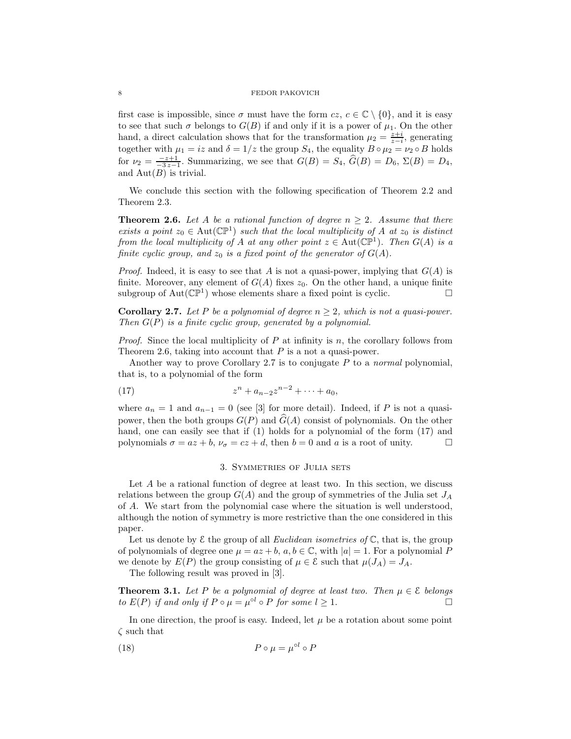first case is impossible, since  $\sigma$  must have the form  $cz, c \in \mathbb{C} \setminus \{0\}$ , and it is easy to see that such  $\sigma$  belongs to  $G(B)$  if and only if it is a power of  $\mu_1$ . On the other hand, a direct calculation shows that for the transformation  $\mu_2 = \frac{z+i}{z-i}$ , generating together with  $\mu_1 = iz$  and  $\delta = 1/z$  the group  $S_4$ , the equality  $B \circ \mu_2 = \nu_2 \circ B$  holds for  $\nu_2 = \frac{-z+1}{-3z-1}$ . Summarizing, we see that  $G(B) = S_4$ ,  $\widehat{G}(B) = D_6$ ,  $\Sigma(B) = D_4$ , and  $Aut(B)$  is trivial.

We conclude this section with the following specification of Theorem 2.2 and Theorem 2.3.

**Theorem 2.6.** Let A be a rational function of degree  $n \geq 2$ . Assume that there exists a point  $z_0 \in \text{Aut}(\mathbb{CP}^1)$  such that the local multiplicity of A at  $z_0$  is distinct from the local multiplicity of A at any other point  $z \in \text{Aut}(\mathbb{CP}^1)$ . Then  $G(A)$  is a finite cyclic group, and  $z_0$  is a fixed point of the generator of  $G(A)$ .

*Proof.* Indeed, it is easy to see that A is not a quasi-power, implying that  $G(A)$  is finite. Moreover, any element of  $G(A)$  fixes  $z_0$ . On the other hand, a unique finite subgroup of  $Aut(\mathbb{CP}^1)$  whose elements share a fixed point is cyclic.

**Corollary 2.7.** Let P be a polynomial of degree  $n \geq 2$ , which is not a quasi-power. Then  $G(P)$  is a finite cyclic group, generated by a polynomial.

*Proof.* Since the local multiplicity of  $P$  at infinity is  $n$ , the corollary follows from Theorem 2.6, taking into account that  $P$  is a not a quasi-power.

Another way to prove Corollary 2.7 is to conjugate  $P$  to a normal polynomial, that is, to a polynomial of the form

(17) 
$$
z^{n} + a_{n-2}z^{n-2} + \cdots + a_{0},
$$

where  $a_n = 1$  and  $a_{n-1} = 0$  (see [3] for more detail). Indeed, if P is not a quasipower, then the both groups  $G(P)$  and  $\widehat{G}(A)$  consist of polynomials. On the other hand, one can easily see that if (1) holds for a polynomial of the form (17) and polynomials  $\sigma = az + b$ ,  $\nu_{\sigma} = cz + d$ , then  $b = 0$  and a is a root of unity.

## 3. Symmetries of Julia sets

Let A be a rational function of degree at least two. In this section, we discuss relations between the group  $G(A)$  and the group of symmetries of the Julia set  $J_A$ of A. We start from the polynomial case where the situation is well understood, although the notion of symmetry is more restrictive than the one considered in this paper.

Let us denote by  $\mathcal E$  the group of all *Euclidean isometries of*  $\mathbb C$ , that is, the group of polynomials of degree one  $\mu = az + b$ ,  $a, b \in \mathbb{C}$ , with  $|a| = 1$ . For a polynomial P we denote by  $E(P)$  the group consisting of  $\mu \in \mathcal{E}$  such that  $\mu(J_A) = J_A$ .

The following result was proved in [3].

**Theorem 3.1.** Let P be a polynomial of degree at least two. Then  $\mu \in \mathcal{E}$  belongs to  $E(P)$  if and only if  $P \circ \mu = \mu^{\circ l} \circ P$  for some  $l > 1$ to  $E(P)$  if and only if  $P \circ \mu = \mu^{\circ l} \circ P$  for some  $l \geq 1$ .

In one direction, the proof is easy. Indeed, let  $\mu$  be a rotation about some point  $\zeta$  such that

(18) 
$$
P \circ \mu = \mu^{\circ l} \circ P
$$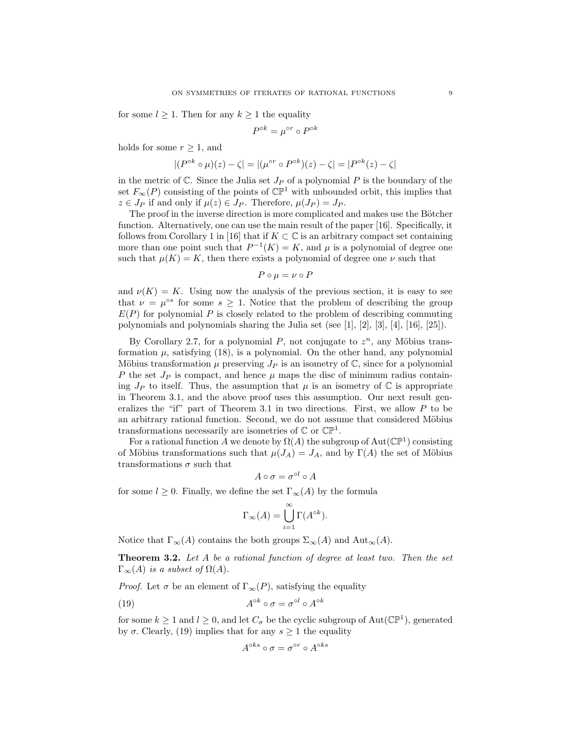for some  $l \geq 1$ . Then for any  $k \geq 1$  the equality

$$
P^{\circ k} = \mu^{\circ r} \circ P^{\circ k}
$$

holds for some  $r \geq 1$ , and

$$
|(P^{\circ k} \circ \mu)(z) - \zeta| = |(\mu^{\circ r} \circ P^{\circ k})(z) - \zeta| = |P^{\circ k}(z) - \zeta|
$$

in the metric of  $\mathbb C$ . Since the Julia set  $J_P$  of a polynomial P is the boundary of the set  $F_{\infty}(P)$  consisting of the points of  $\mathbb{CP}^1$  with unbounded orbit, this implies that  $z \in J_P$  if and only if  $\mu(z) \in J_P$ . Therefore,  $\mu(J_P) = J_P$ .

The proof in the inverse direction is more complicated and makes use the Bötcher function. Alternatively, one can use the main result of the paper [16]. Specifically, it follows from Corollary 1 in [16] that if  $K \subset \mathbb{C}$  is an arbitrary compact set containing more than one point such that  $P^{-1}(K) = K$ , and  $\mu$  is a polynomial of degree one such that  $\mu(K) = K$ , then there exists a polynomial of degree one  $\nu$  such that

$$
P \circ \mu = \nu \circ P
$$

and  $\nu(K) = K$ . Using now the analysis of the previous section, it is easy to see that  $\nu = \mu^{\circ s}$  for some  $s \geq 1$ . Notice that the problem of describing the group  $E(P)$  for polynomial P is closely related to the problem of describing commuting polynomials and polynomials sharing the Julia set (see [1], [2], [3], [4], [16], [25]).

By Corollary 2.7, for a polynomial P, not conjugate to  $z^n$ , any Möbius transformation  $\mu$ , satisfying (18), is a polynomial. On the other hand, any polynomial Möbius transformation  $\mu$  preserving  $J_P$  is an isometry of  $\mathbb{C}$ , since for a polynomial P the set  $J_P$  is compact, and hence  $\mu$  maps the disc of minimum radius containing  $J_P$  to itself. Thus, the assumption that  $\mu$  is an isometry of  $\mathbb C$  is appropriate in Theorem 3.1, and the above proof uses this assumption. Our next result generalizes the "if" part of Theorem 3.1 in two directions. First, we allow  $P$  to be an arbitrary rational function. Second, we do not assume that considered Möbius transformations necessarily are isometries of  $\mathbb C$  or  $\mathbb{CP}^1$ .

For a rational function A we denote by  $\Omega(A)$  the subgroup of  $\text{Aut}(\mathbb{CP}^1)$  consisting of Möbius transformations such that  $\mu(J_A) = J_A$ , and by  $\Gamma(A)$  the set of Möbius transformations  $\sigma$  such that

$$
A \circ \sigma = \sigma^{\circ l} \circ A
$$

for some  $l \geq 0$ . Finally, we define the set  $\Gamma_{\infty}(A)$  by the formula

$$
\Gamma_{\infty}(A) = \bigcup_{i=1}^{\infty} \Gamma(A^{\circ k}).
$$

Notice that  $\Gamma_{\infty}(A)$  contains the both groups  $\Sigma_{\infty}(A)$  and  $\text{Aut}_{\infty}(A)$ .

Theorem 3.2. Let A be a rational function of degree at least two. Then the set  $\Gamma_{\infty}(A)$  is a subset of  $\Omega(A)$ .

*Proof.* Let  $\sigma$  be an element of  $\Gamma_{\infty}(P)$ , satisfying the equality

(19) 
$$
A^{\circ k} \circ \sigma = \sigma^{\circ l} \circ A^{\circ k}
$$

for some  $k \ge 1$  and  $l \ge 0$ , and let  $C_{\sigma}$  be the cyclic subgroup of Aut( $\mathbb{CP}^1$ ), generated by  $\sigma$ . Clearly, (19) implies that for any  $s \geq 1$  the equality

$$
A^{\circ ks} \circ \sigma = \sigma^{\circ r} \circ A^{\circ ks}
$$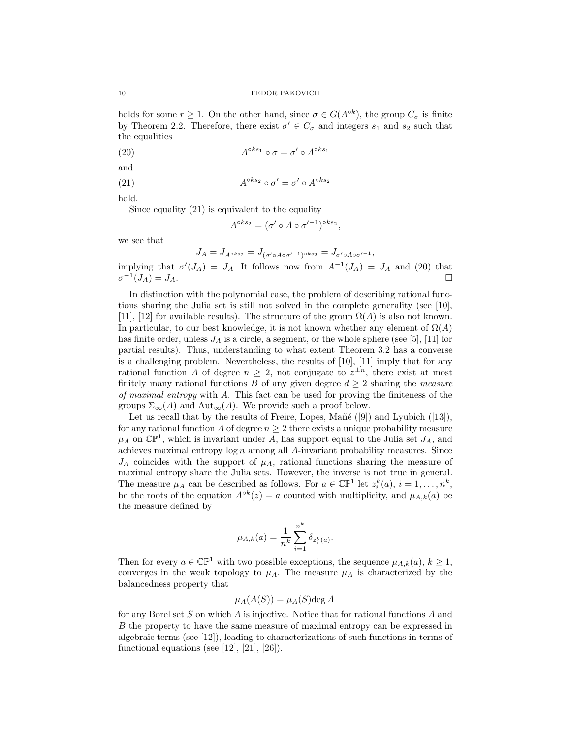holds for some  $r \geq 1$ . On the other hand, since  $\sigma \in G(A^{\circ k})$ , the group  $C_{\sigma}$  is finite by Theorem 2.2. Therefore, there exist  $\sigma' \in C_{\sigma}$  and integers  $s_1$  and  $s_2$  such that the equalities

(20) 
$$
A^{\circ ks_1} \circ \sigma = \sigma' \circ A^{\circ ks_1}
$$

and

(21) 
$$
A^{\circ ks_2} \circ \sigma' = \sigma' \circ A^{\circ ks_2}
$$

hold.

Since equality (21) is equivalent to the equality

$$
A^{\circ ks_2} = (\sigma' \circ A \circ \sigma'^{-1})^{\circ ks_2},
$$

we see that

$$
J_A = J_{A \circ ks_2} = J_{(\sigma' \circ A \circ \sigma'^{-1}) \circ ks_2} = J_{\sigma' \circ A \circ \sigma'^{-1}},
$$

implying that  $\sigma'(J_A) = J_A$ . It follows now from  $A^{-1}(J_A) = J_A$  and (20) that  $\sigma^{-1}(J_A) = J_A.$ 

In distinction with the polynomial case, the problem of describing rational functions sharing the Julia set is still not solved in the complete generality (see [10], [11], [12] for available results). The structure of the group  $\Omega(A)$  is also not known. In particular, to our best knowledge, it is not known whether any element of  $\Omega(A)$ has finite order, unless  $J_A$  is a circle, a segment, or the whole sphere (see [5], [11] for partial results). Thus, understanding to what extent Theorem 3.2 has a converse is a challenging problem. Nevertheless, the results of [10], [11] imply that for any rational function A of degree  $n \geq 2$ , not conjugate to  $z^{\pm n}$ , there exist at most finitely many rational functions B of any given degree  $d \geq 2$  sharing the measure of maximal entropy with A. This fact can be used for proving the finiteness of the groups  $\Sigma_{\infty}(A)$  and  $Aut_{\infty}(A)$ . We provide such a proof below.

Let us recall that by the results of Freire, Lopes, Mañé  $([9])$  and Lyubich  $([13])$ , for any rational function A of degree  $n \geq 2$  there exists a unique probability measure  $\mu_A$  on  $\mathbb{CP}^1$ , which is invariant under A, has support equal to the Julia set  $J_A$ , and achieves maximal entropy  $\log n$  among all A-invariant probability measures. Since  $J_A$  coincides with the support of  $\mu_A$ , rational functions sharing the measure of maximal entropy share the Julia sets. However, the inverse is not true in general. The measure  $\mu_A$  can be described as follows. For  $a \in \mathbb{CP}^1$  let  $z_i^k(a), i = 1, \ldots, n^k$ , be the roots of the equation  $A^{\circ k}(z) = a$  counted with multiplicity, and  $\mu_{A,k}(a)$  be the measure defined by

$$
\mu_{A,k}(a) = \frac{1}{n^k} \sum_{i=1}^{n^k} \delta_{z_i^k(a)}.
$$

Then for every  $a \in \mathbb{CP}^1$  with two possible exceptions, the sequence  $\mu_{A,k}(a), k \geq 1$ , converges in the weak topology to  $\mu_A$ . The measure  $\mu_A$  is characterized by the balancedness property that

$$
\mu_A(A(S)) = \mu_A(S) \deg A
$$

for any Borel set S on which A is injective. Notice that for rational functions A and B the property to have the same measure of maximal entropy can be expressed in algebraic terms (see [12]), leading to characterizations of such functions in terms of functional equations (see [12], [21], [26]).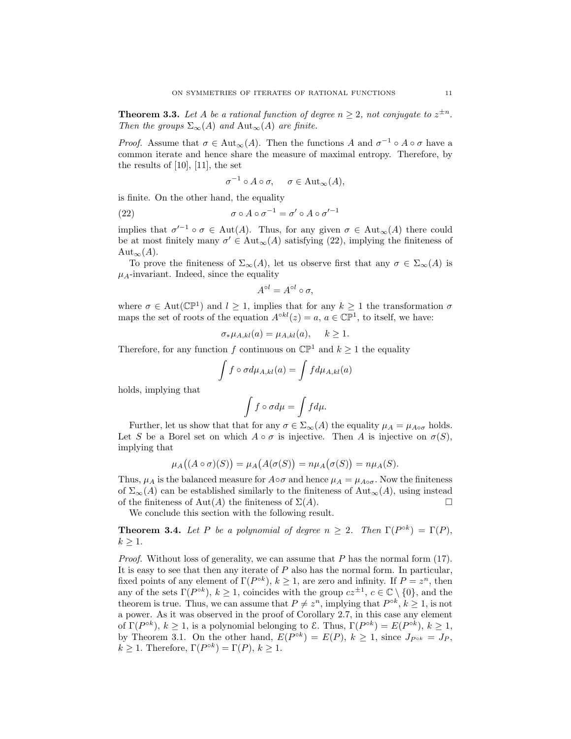**Theorem 3.3.** Let A be a rational function of degree  $n \geq 2$ , not conjugate to  $z^{\pm n}$ . Then the groups  $\Sigma_{\infty}(A)$  and  $Aut_{\infty}(A)$  are finite.

*Proof.* Assume that  $\sigma \in \text{Aut}_{\infty}(A)$ . Then the functions A and  $\sigma^{-1} \circ A \circ \sigma$  have a common iterate and hence share the measure of maximal entropy. Therefore, by the results of [10], [11], the set

$$
\sigma^{-1} \circ A \circ \sigma, \quad \sigma \in \text{Aut}_{\infty}(A),
$$

is finite. On the other hand, the equality

(22)  $\sigma \circ A \circ \sigma^{-1} = \sigma' \circ A \circ \sigma'^{-1}$ 

implies that  $\sigma'^{-1} \circ \sigma \in \text{Aut}(A)$ . Thus, for any given  $\sigma \in \text{Aut}_{\infty}(A)$  there could be at most finitely many  $\sigma' \in \text{Aut}_{\infty}(A)$  satisfying (22), implying the finiteness of Aut<sub>∞</sub> $(A)$ .

To prove the finiteness of  $\Sigma_{\infty}(A)$ , let us observe first that any  $\sigma \in \Sigma_{\infty}(A)$  is  $\mu_A$ -invariant. Indeed, since the equality

$$
A^{\circ l} = A^{\circ l} \circ \sigma,
$$

where  $\sigma \in \text{Aut}(\mathbb{CP}^1)$  and  $l \geq 1$ , implies that for any  $k \geq 1$  the transformation  $\sigma$ maps the set of roots of the equation  $A^{\circ kl}(z) = a, a \in \mathbb{CP}^1$ , to itself, we have:

$$
\sigma_* \mu_{A,kl}(a) = \mu_{A,kl}(a), \quad k \ge 1.
$$

Therefore, for any function f continuous on  $\mathbb{CP}^1$  and  $k \geq 1$  the equality

$$
\int f \circ \sigma d\mu_{A,kl}(a) = \int f d\mu_{A,kl}(a)
$$

holds, implying that

$$
\int f\circ\sigma d\mu=\int f d\mu.
$$

Further, let us show that that for any  $\sigma \in \Sigma_{\infty}(A)$  the equality  $\mu_A = \mu_{A \circ \sigma}$  holds. Let S be a Borel set on which  $A \circ \sigma$  is injective. Then A is injective on  $\sigma(S)$ , implying that

$$
\mu_A((A \circ \sigma)(S)) = \mu_A(A(\sigma(S))) = n\mu_A(\sigma(S)) = n\mu_A(S).
$$

Thus,  $\mu_A$  is the balanced measure for  $A \circ \sigma$  and hence  $\mu_A = \mu_{A \circ \sigma}$ . Now the finiteness of  $\Sigma_{\infty}(A)$  can be established similarly to the finiteness of  $\text{Aut}_{\infty}(A)$ , using instead of the finiteness of Aut(A) the finiteness of  $\Sigma(A)$ .

We conclude this section with the following result.

**Theorem 3.4.** Let P be a polynomial of degree  $n \geq 2$ . Then  $\Gamma(P^{\circ k}) = \Gamma(P)$ ,  $k > 1$ .

*Proof.* Without loss of generality, we can assume that  $P$  has the normal form (17). It is easy to see that then any iterate of  $P$  also has the normal form. In particular, fixed points of any element of  $\Gamma(P^{\circ k})$ ,  $k \geq 1$ , are zero and infinity. If  $P = z^n$ , then any of the sets  $\Gamma(P^{ok})$ ,  $k \geq 1$ , coincides with the group  $cz^{\pm 1}$ ,  $c \in \mathbb{C} \setminus \{0\}$ , and the theorem is true. Thus, we can assume that  $P \neq z^n$ , implying that  $P^{\circ k}$ ,  $k \geq 1$ , is not a power. As it was observed in the proof of Corollary 2.7, in this case any element of  $\Gamma(P^{\circ k})$ ,  $k \ge 1$ , is a polynomial belonging to  $\mathcal{E}$ . Thus,  $\Gamma(P^{\circ k}) = E(P^{\circ k})$ ,  $k \ge 1$ , by Theorem 3.1. On the other hand,  $E(P^{\circ k}) = E(P)$ ,  $k \ge 1$ , since  $J_{P^{\circ k}} = J_P$ ,  $k \geq 1$ . Therefore,  $\Gamma(P^{\circ k}) = \Gamma(P)$ ,  $k \geq 1$ .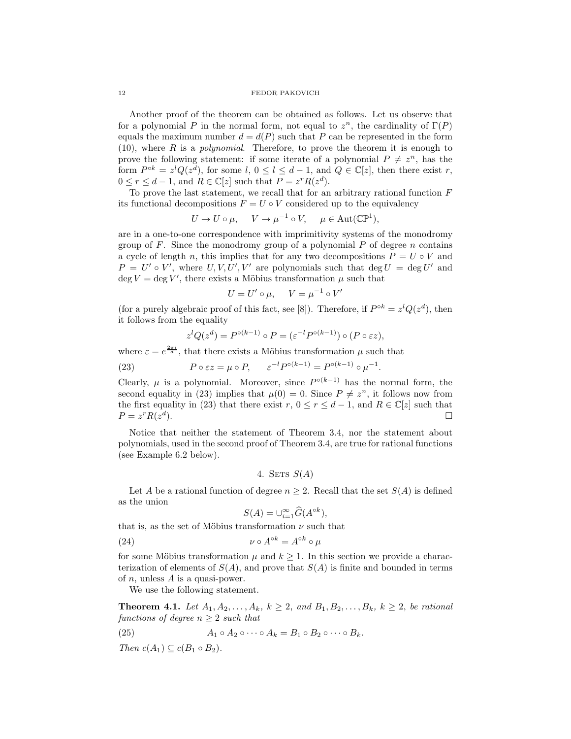Another proof of the theorem can be obtained as follows. Let us observe that for a polynomial P in the normal form, not equal to  $z^n$ , the cardinality of  $\Gamma(P)$ equals the maximum number  $d = d(P)$  such that P can be represented in the form  $(10)$ , where R is a *polynomial*. Therefore, to prove the theorem it is enough to prove the following statement: if some iterate of a polynomial  $P \neq z^n$ , has the form  $P^{ok} = z^{l}Q(z^{d})$ , for some  $l, 0 \leq l \leq d-1$ , and  $Q \in \mathbb{C}[z]$ , then there exist r,  $0 \le r \le d-1$ , and  $R \in \mathbb{C}[z]$  such that  $P = z^r R(z^d)$ .

To prove the last statement, we recall that for an arbitrary rational function  $F$ its functional decompositions  $F = U \circ V$  considered up to the equivalency

$$
U \to U \circ \mu, \quad V \to \mu^{-1} \circ V, \quad \mu \in \text{Aut}(\mathbb{CP}^1),
$$

are in a one-to-one correspondence with imprimitivity systems of the monodromy group of  $F$ . Since the monodromy group of a polynomial  $P$  of degree  $n$  contains a cycle of length n, this implies that for any two decompositions  $P = U \circ V$  and  $P = U' \circ V'$ , where  $U, V, U', V'$  are polynomials such that  $\deg U = \deg U'$  and deg  $V = \deg V'$ , there exists a Möbius transformation  $\mu$  such that

$$
U = U' \circ \mu, \quad V = \mu^{-1} \circ V
$$

′

.

(for a purely algebraic proof of this fact, see [8]). Therefore, if  $P^{\circ k} = z^{l} Q(z^{d})$ , then it follows from the equality

$$
z^{l}Q(z^{d}) = P^{\circ (k-1)} \circ P = (\varepsilon^{-l} P^{\circ (k-1)}) \circ (P \circ \varepsilon z),
$$

where  $\varepsilon = e^{\frac{2\pi i}{d}}$ , that there exists a Möbius transformation  $\mu$  such that

(23) 
$$
P \circ \varepsilon z = \mu \circ P, \qquad \varepsilon^{-l} P^{\circ (k-1)} = P^{\circ (k-1)} \circ \mu^{-1}
$$

Clearly,  $\mu$  is a polynomial. Moreover, since  $P^{\circ(k-1)}$  has the normal form, the second equality in (23) implies that  $\mu(0) = 0$ . Since  $P \neq z^n$ , it follows now from the first equality in (23) that there exist  $r, 0 \le r \le d - 1$ , and  $R \in \mathbb{C}[z]$  such that  $P = z^r R(z^d)$ .  $P = z^r R(z^d)$ ).

Notice that neither the statement of Theorem 3.4, nor the statement about polynomials, used in the second proof of Theorem 3.4, are true for rational functions (see Example 6.2 below).

4. SETS 
$$
S(A)
$$

Let A be a rational function of degree  $n \geq 2$ . Recall that the set  $S(A)$  is defined as the union

$$
S(A) = \cup_{i=1}^{\infty} \widehat{G}(A^{\circ k}),
$$

that is, as the set of Möbius transformation  $\nu$  such that

(24) 
$$
\nu \circ A^{\circ k} = A^{\circ k} \circ \mu
$$

for some Möbius transformation  $\mu$  and  $k \geq 1$ . In this section we provide a characterization of elements of  $S(A)$ , and prove that  $S(A)$  is finite and bounded in terms of *n*, unless  $A$  is a quasi-power.

We use the following statement.

**Theorem 4.1.** Let  $A_1, A_2, ..., A_k, k \ge 2$ , and  $B_1, B_2, ..., B_k, k \ge 2$ , be rational functions of degree  $n > 2$  such that

(25) 
$$
A_1 \circ A_2 \circ \cdots \circ A_k = B_1 \circ B_2 \circ \cdots \circ B_k.
$$

Then  $c(A_1) \subseteq c(B_1 \circ B_2)$ .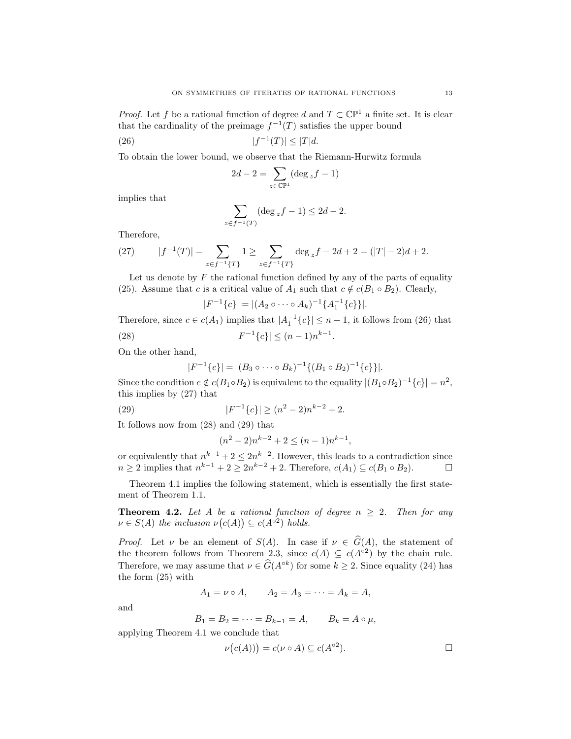*Proof.* Let f be a rational function of degree d and  $T \subset \mathbb{CP}^1$  a finite set. It is clear that the cardinality of the preimage  $f^{-1}(T)$  satisfies the upper bound

$$
(26) \t\t |f^{-1}(T)| \le |T|d.
$$

To obtain the lower bound, we observe that the Riemann-Hurwitz formula

$$
2d - 2 = \sum_{z \in \mathbb{CP}^1} (\deg_z f - 1)
$$

implies that

$$
\sum_{z \in f^{-1}(T)} (\deg_z f - 1) \le 2d - 2.
$$

Therefore,

(27) 
$$
|f^{-1}(T)| = \sum_{z \in f^{-1}\{T\}} 1 \ge \sum_{z \in f^{-1}\{T\}} \deg_z f - 2d + 2 = (|T| - 2)d + 2.
$$

Let us denote by  $F$  the rational function defined by any of the parts of equality (25). Assume that c is a critical value of  $A_1$  such that  $c \notin c(B_1 \circ B_2)$ . Clearly,

$$
|F^{-1}\{c\}| = |(A_2 \circ \cdots \circ A_k)^{-1}\{A_1^{-1}\{c\}\}|.
$$

Therefore, since  $c \in c(A_1)$  implies that  $|A_1^{-1}\{c\}| \leq n-1$ , it follows from (26) that  $(28)$  |F  $^{-1}{c}$ |  $\leq (n-1)n^{k-1}$ .

On the other hand,

$$
|F^{-1}\{c\}| = |(B_3 \circ \cdots \circ B_k)^{-1}\{(B_1 \circ B_2)^{-1}\{c\}\}|.
$$

Since the condition  $c \notin c(B_1 \circ B_2)$  is equivalent to the equality  $|(B_1 \circ B_2)^{-1}{c}| = n^2$ , this implies by (27) that

(29) 
$$
|F^{-1}\{c\}| \ge (n^2 - 2)n^{k-2} + 2.
$$

It follows now from (28) and (29) that

$$
(n^2 - 2)n^{k-2} + 2 \le (n - 1)n^{k-1},
$$

or equivalently that  $n^{k-1} + 2 \leq 2n^{k-2}$ . However, this leads to a contradiction since  $n \geq 2$  implies that  $n^{k-1} + 2 \geq 2n^{k-2} + 2$ . Therefore,  $c(A_1) \subseteq c(B_1 \circ B_2)$ .

Theorem 4.1 implies the following statement, which is essentially the first statement of Theorem 1.1.

**Theorem 4.2.** Let A be a rational function of degree  $n \geq 2$ . Then for any  $\nu \in S(A)$  the inclusion  $\nu(c(A)) \subseteq c(A^{\circ 2})$  holds.

*Proof.* Let  $\nu$  be an element of  $S(A)$ . In case if  $\nu \in \widehat{G}(A)$ , the statement of the theorem follows from Theorem 2.3, since  $c(A) \subseteq c(A^{\circ 2})$  by the chain rule. Therefore, we may assume that  $\nu \in \widehat{G}(A^{\circ k})$  for some  $k \geq 2$ . Since equality (24) has the form (25) with

$$
A_1 = \nu \circ A
$$
,  $A_2 = A_3 = \cdots = A_k = A$ ,

and

$$
B_1 = B_2 = \cdots = B_{k-1} = A, \qquad B_k = A \circ \mu,
$$

applying Theorem 4.1 we conclude that

$$
\nu(c(A))) = c(\nu \circ A) \subseteq c(A^{\circ 2}).
$$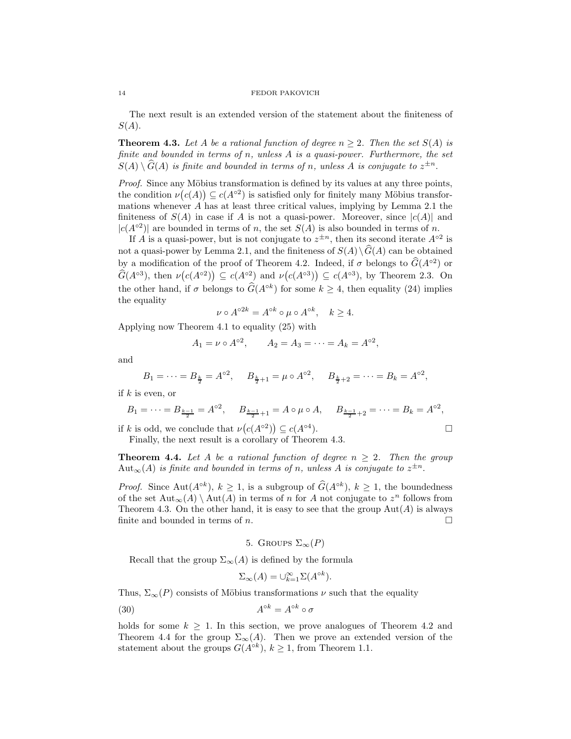The next result is an extended version of the statement about the finiteness of  $S(A).$ 

**Theorem 4.3.** Let A be a rational function of degree  $n \geq 2$ . Then the set  $S(A)$  is finite and bounded in terms of n, unless  $A$  is a quasi-power. Furthermore, the set  $S(A) \setminus \widehat{G}(A)$  is finite and bounded in terms of n, unless A is conjugate to  $z^{\pm n}$ .

Proof. Since any Möbius transformation is defined by its values at any three points, the condition  $\nu(c(A)) \subseteq c(A^{\circ 2})$  is satisfied only for finitely many Möbius transformations whenever  $\vec{A}$  has at least three critical values, implying by Lemma 2.1 the finiteness of  $S(A)$  in case if A is not a quasi-power. Moreover, since  $|c(A)|$  and  $|c(A^{\circ 2})|$  are bounded in terms of n, the set  $S(A)$  is also bounded in terms of n.

If A is a quasi-power, but is not conjugate to  $z^{\pm n}$ , then its second iterate  $A^{\circ 2}$  is not a quasi-power by Lemma 2.1, and the finiteness of  $S(A)\setminus\widehat{G}(A)$  can be obtained by a modification of the proof of Theorem 4.2. Indeed, if  $\sigma$  belongs to  $\widehat{G}(A^{\circ 2})$  or  $\widehat{G}(A^{\circ 3})$ , then  $\nu(c(A^{\circ 2})) \subseteq c(A^{\circ 2})$  and  $\nu(c(A^{\circ 3})) \subseteq c(A^{\circ 3})$ , by Theorem 2.3. On the other hand, if  $\sigma$  belongs to  $\widehat{G}(A^{\circ k})$  for some  $k \geq 4$ , then equality (24) implies the equality

$$
\nu \circ A^{\circ 2k} = A^{\circ k} \circ \mu \circ A^{\circ k}, \quad k \ge 4.
$$

Applying now Theorem 4.1 to equality (25) with

$$
A_1 = \nu \circ A^{\circ 2}
$$
,  $A_2 = A_3 = \cdots = A_k = A^{\circ 2}$ ,

and

$$
B_1 = \cdots = B_{\frac{k}{2}} = A^{\circ 2}, \quad B_{\frac{k}{2}+1} = \mu \circ A^{\circ 2}, \quad B_{\frac{k}{2}+2} = \cdots = B_k = A^{\circ 2},
$$

if  $k$  is even, or

$$
B_1 = \dots = B_{\frac{k-1}{2}} = A^{\circ 2}, \quad B_{\frac{k-1}{2}+1} = A \circ \mu \circ A, \quad B_{\frac{k-1}{2}+2} = \dots = B_k = A^{\circ 2},
$$
  
*k* is odd, we conclude that  $\nu(c(A^{\circ 2})) \subseteq c(A^{\circ 4}).$ 

if k is odd, we conclude that  $\nu(c(A^{\circ 2})) \subseteq c(A^{\circ 4})$ 

Finally, the next result is a corollary of Theorem 4.3.

**Theorem 4.4.** Let A be a rational function of degree  $n \geq 2$ . Then the group  $\mathrm{Aut}_{\infty}(A)$  is finite and bounded in terms of n, unless A is conjugate to  $z^{\pm n}$ .

*Proof.* Since Aut $(A^{\circ k})$ ,  $k \ge 1$ , is a subgroup of  $\widehat{G}(A^{\circ k})$ ,  $k \ge 1$ , the boundedness of the set  ${\rm Aut}_{\infty}(A) \setminus {\rm Aut}(A)$  in terms of n for A not conjugate to  $z^n$  follows from Theorem 4.3. On the other hand, it is easy to see that the group  $\text{Aut}(A)$  is always finite and bounded in terms of  $n$ .

5. GROUPS 
$$
\Sigma_{\infty}(P)
$$

Recall that the group  $\Sigma_{\infty}(A)$  is defined by the formula

$$
\Sigma_{\infty}(A) = \bigcup_{k=1}^{\infty} \Sigma(A^{\circ k}).
$$

Thus,  $\Sigma_{\infty}(P)$  consists of Möbius transformations  $\nu$  such that the equality

(30) 
$$
A^{\circ k} = A^{\circ k} \circ \sigma
$$

holds for some  $k \geq 1$ . In this section, we prove analogues of Theorem 4.2 and Theorem 4.4 for the group  $\Sigma_{\infty}(A)$ . Then we prove an extended version of the statement about the groups  $G(A^{ok})$ ,  $k \geq 1$ , from Theorem 1.1.

$$
^{14}
$$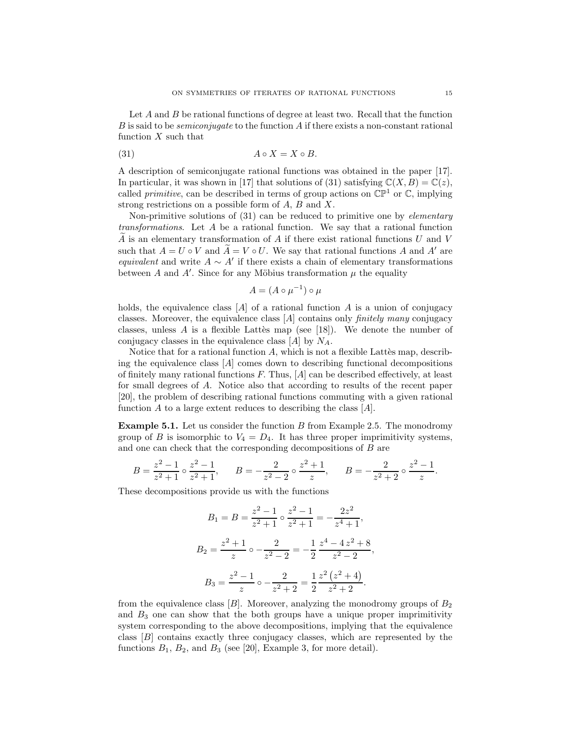Let A and B be rational functions of degree at least two. Recall that the function  $B$  is said to be *semiconjugate* to the function  $A$  if there exists a non-constant rational function  $X$  such that

(31) 
$$
A \circ X = X \circ B.
$$

A description of semiconjugate rational functions was obtained in the paper [17]. In particular, it was shown in [17] that solutions of (31) satisfying  $\mathbb{C}(X, B) = \mathbb{C}(z)$ , called *primitive*, can be described in terms of group actions on  $\mathbb{CP}^1$  or  $\mathbb{C}$ , implying strong restrictions on a possible form of  $A, B$  and  $X$ .

Non-primitive solutions of (31) can be reduced to primitive one by *elementary* transformations. Let A be a rational function. We say that a rational function A is an elementary transformation of A if there exist rational functions  $U$  and  $V$ such that  $A = U \circ V$  and  $A = V \circ U$ . We say that rational functions A and A' are equivalent and write  $A \sim A'$  if there exists a chain of elementary transformations between A and A'. Since for any Möbius transformation  $\mu$  the equality

$$
A = (A \circ \mu^{-1}) \circ \mu
$$

holds, the equivalence class  $[A]$  of a rational function A is a union of conjugacy classes. Moreover, the equivalence class  $[A]$  contains only *finitely many* conjugacy classes, unless A is a flexible Latter map (see [18]). We denote the number of conjugacy classes in the equivalence class  $[A]$  by  $N_A$ .

Notice that for a rational function  $A$ , which is not a flexible Lattes map, describing the equivalence class  $[A]$  comes down to describing functional decompositions of finitely many rational functions  $F$ . Thus,  $[A]$  can be described effectively, at least for small degrees of A. Notice also that according to results of the recent paper [20], the problem of describing rational functions commuting with a given rational function  $A$  to a large extent reduces to describing the class  $[A]$ .

**Example 5.1.** Let us consider the function  $B$  from Example 2.5. The monodromy group of B is isomorphic to  $V_4 = D_4$ . It has three proper imprimitivity systems, and one can check that the corresponding decompositions of B are

$$
B = \frac{z^2 - 1}{z^2 + 1} \circ \frac{z^2 - 1}{z^2 + 1}, \qquad B = -\frac{2}{z^2 - 2} \circ \frac{z^2 + 1}{z}, \qquad B = -\frac{2}{z^2 + 2} \circ \frac{z^2 - 1}{z}.
$$

These decompositions provide us with the functions

$$
B_1 = B = \frac{z^2 - 1}{z^2 + 1} \circ \frac{z^2 - 1}{z^2 + 1} = -\frac{2z^2}{z^4 + 1},
$$
  
\n
$$
B_2 = \frac{z^2 + 1}{z} \circ -\frac{2}{z^2 - 2} = -\frac{1}{2} \frac{z^4 - 4z^2 + 8}{z^2 - 2},
$$
  
\n
$$
B_3 = \frac{z^2 - 1}{z} \circ -\frac{2}{z^2 + 2} = \frac{1}{2} \frac{z^2 (z^2 + 4)}{z^2 + 2}.
$$

from the equivalence class  $[B]$ . Moreover, analyzing the monodromy groups of  $B_2$ and  $B_3$  one can show that the both groups have a unique proper imprimitivity system corresponding to the above decompositions, implying that the equivalence class [B] contains exactly three conjugacy classes, which are represented by the functions  $B_1$ ,  $B_2$ , and  $B_3$  (see [20], Example 3, for more detail).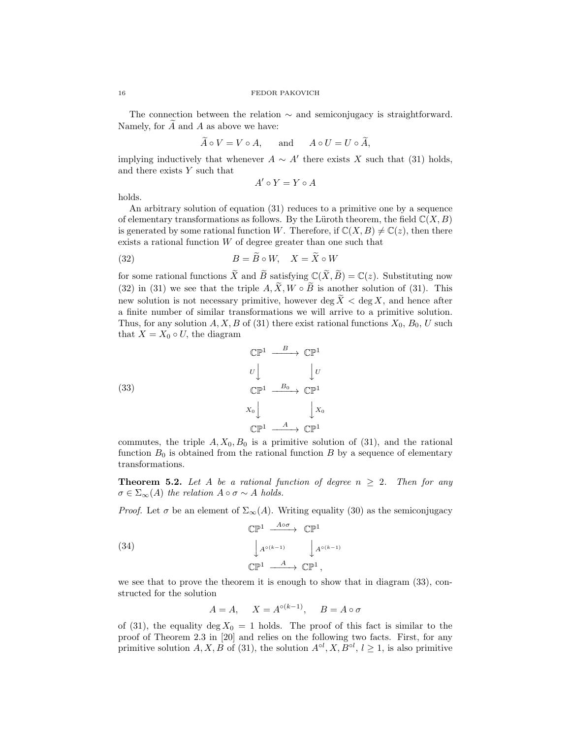The connection between the relation ∼ and semiconjugacy is straightforward. Namely, for  $\overline{A}$  and  $\overline{A}$  as above we have:

$$
\tilde{A} \circ V = V \circ A, \quad \text{and} \quad A \circ U = U \circ \tilde{A},
$$

implying inductively that whenever  $A \sim A'$  there exists X such that (31) holds, and there exists Y such that

$$
A' \circ Y = Y \circ A
$$

holds.

An arbitrary solution of equation (31) reduces to a primitive one by a sequence of elementary transformations as follows. By the Lüroth theorem, the field  $\mathbb{C}(X, B)$ is generated by some rational function W. Therefore, if  $\mathbb{C}(X, B) \neq \mathbb{C}(z)$ , then there exists a rational function  $W$  of degree greater than one such that

(32) 
$$
B = \widetilde{B} \circ W, \quad X = \widetilde{X} \circ W
$$

for some rational functions  $\widetilde{X}$  and  $\widetilde{B}$  satisfying  $\mathbb{C}(\widetilde{X}, \widetilde{B}) = \mathbb{C}(z)$ . Substituting now (32) in (31) we see that the triple  $A, \widetilde{X}, W \circ \widetilde{B}$  is another solution of (31). This new solution is not necessary primitive, however  $\deg \widetilde{X} < \deg X$ , and hence after a finite number of similar transformations we will arrive to a primitive solution. Thus, for any solution  $A, X, B$  of (31) there exist rational functions  $X_0, B_0, U$  such that  $X = X_0 \circ U$ , the diagram

(33)  
\n
$$
\begin{array}{ccc}\n\mathbb{CP}^1 & \xrightarrow{B} & \mathbb{CP}^1 \\
U & \downarrow U \\
\mathbb{CP}^1 & \xrightarrow{B_0} & \mathbb{CP}^1 \\
X_0 & \downarrow X_0 \\
\mathbb{CP}^1 & \xrightarrow{A} & \mathbb{CP}^1\n\end{array}
$$

commutes, the triple  $A, X_0, B_0$  is a primitive solution of (31), and the rational function  $B_0$  is obtained from the rational function  $B$  by a sequence of elementary transformations.

**Theorem 5.2.** Let A be a rational function of degree  $n \geq 2$ . Then for any  $\sigma \in \Sigma_{\infty}(A)$  the relation  $A \circ \sigma \sim A$  holds.

*Proof.* Let  $\sigma$  be an element of  $\Sigma_{\infty}(A)$ . Writing equality (30) as the semiconjugacy

(34)  
\n
$$
\mathbb{CP}^{1} \xrightarrow{A \circ \sigma} \mathbb{CP}^{1}
$$
\n
$$
\downarrow A^{\circ (k-1)} \qquad \downarrow A^{\circ (k-1)}
$$
\n
$$
\mathbb{CP}^{1} \xrightarrow{A} \mathbb{CP}^{1},
$$

we see that to prove the theorem it is enough to show that in diagram (33), constructed for the solution

$$
A = A, \quad X = A^{\circ (k-1)}, \quad B = A \circ \sigma
$$

of (31), the equality deg  $X_0 = 1$  holds. The proof of this fact is similar to the proof of Theorem 2.3 in [20] and relies on the following two facts. First, for any primitive solution  $A, X, B$  of (31), the solution  $A^{\circ l}, X, B^{\circ l}, l \geq 1$ , is also primitive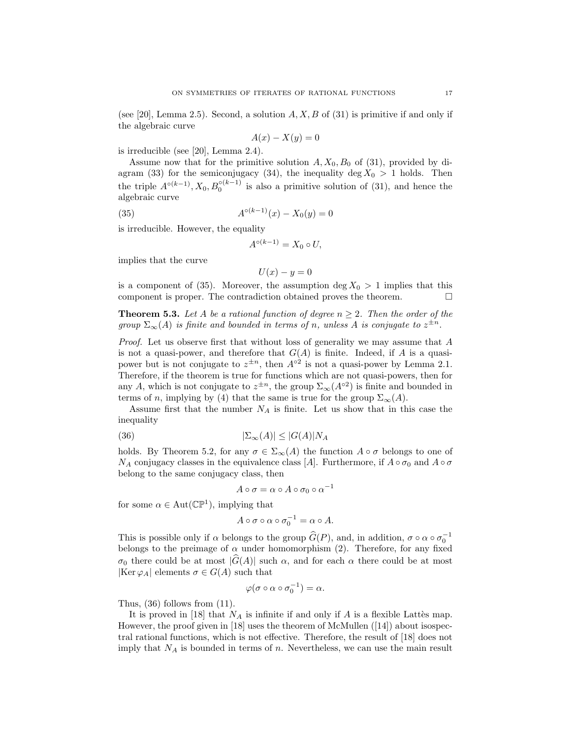(see [20], Lemma 2.5). Second, a solution  $A, X, B$  of (31) is primitive if and only if the algebraic curve

$$
A(x) - X(y) = 0
$$

is irreducible (see [20], Lemma 2.4).

Assume now that for the primitive solution  $A, X_0, B_0$  of (31), provided by diagram (33) for the semiconjugacy (34), the inequality deg  $X_0 > 1$  holds. Then the triple  $A^{\circ(k-1)}$ ,  $X_0, B_0^{\circ(k-1)}$  is also a primitive solution of (31), and hence the algebraic curve

(35) 
$$
A^{\circ (k-1)}(x) - X_0(y) = 0
$$

is irreducible. However, the equality

$$
A^{\circ (k-1)} = X_0 \circ U,
$$

implies that the curve

$$
U(x) - y = 0
$$

is a component of (35). Moreover, the assumption deg  $X_0 > 1$  implies that this component is proper. The contradiction obtained proves the theorem.  $\Box$ 

**Theorem 5.3.** Let A be a rational function of degree  $n \geq 2$ . Then the order of the group  $\Sigma_{\infty}(A)$  is finite and bounded in terms of n, unless A is conjugate to  $z^{\pm n}$ .

Proof. Let us observe first that without loss of generality we may assume that A is not a quasi-power, and therefore that  $G(A)$  is finite. Indeed, if A is a quasipower but is not conjugate to  $z^{\pm n}$ , then  $A^{\circ 2}$  is not a quasi-power by Lemma 2.1. Therefore, if the theorem is true for functions which are not quasi-powers, then for any A, which is not conjugate to  $z^{\pm n}$ , the group  $\Sigma_{\infty}(A^{\circ 2})$  is finite and bounded in terms of n, implying by (4) that the same is true for the group  $\Sigma_{\infty}(A)$ .

Assume first that the number  $N_A$  is finite. Let us show that in this case the inequality

(36) 
$$
|\Sigma_{\infty}(A)| \le |G(A)| N_A
$$

holds. By Theorem 5.2, for any  $\sigma \in \Sigma_{\infty}(A)$  the function  $A \circ \sigma$  belongs to one of  $N_A$  conjugacy classes in the equivalence class [A]. Furthermore, if  $A \circ \sigma_0$  and  $A \circ \sigma$ belong to the same conjugacy class, then

$$
A \circ \sigma = \alpha \circ A \circ \sigma_0 \circ \alpha^{-1}
$$

for some  $\alpha \in Aut(\mathbb{CP}^1)$ , implying that

$$
A \circ \sigma \circ \alpha \circ \sigma_0^{-1} = \alpha \circ A.
$$

This is possible only if  $\alpha$  belongs to the group  $\widehat{G}(P)$ , and, in addition,  $\sigma \circ \alpha \circ \sigma_0^{-1}$ belongs to the preimage of  $\alpha$  under homomorphism (2). Therefore, for any fixed σ<sub>0</sub> there could be at most  $|\widehat{G}(A)|$  such α, and for each α there could be at most  $|\text{Ker }\varphi_A|$  elements  $\sigma \in G(A)$  such that

$$
\varphi(\sigma\circ\alpha\circ\sigma_0^{-1})=\alpha.
$$

Thus, (36) follows from (11).

It is proved in [18] that  $N_A$  is infinite if and only if A is a flexible Lattès map. However, the proof given in [18] uses the theorem of McMullen ([14]) about isospectral rational functions, which is not effective. Therefore, the result of [18] does not imply that  $N_A$  is bounded in terms of  $n$ . Nevertheless, we can use the main result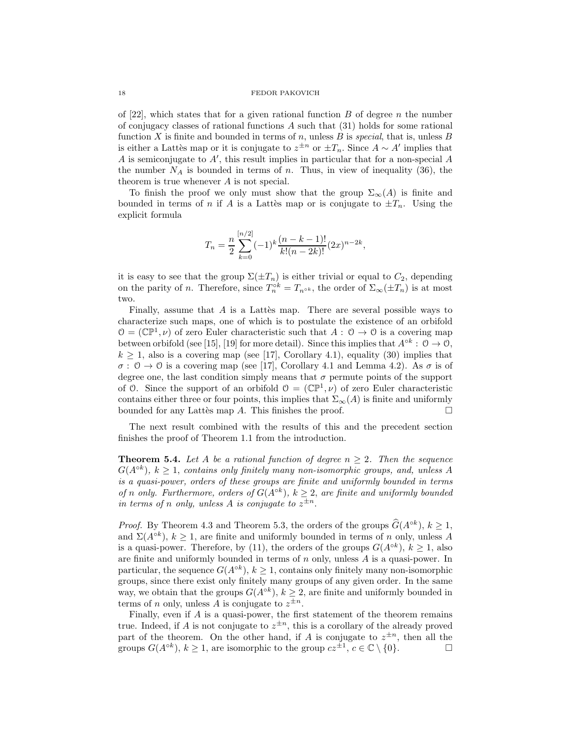of [22], which states that for a given rational function  $B$  of degree n the number of conjugacy classes of rational functions  $A$  such that  $(31)$  holds for some rational function X is finite and bounded in terms of n, unless B is special, that is, unless B is either a Lattès map or it is conjugate to  $z^{\pm n}$  or  $\pm T_n$ . Since  $A \sim A'$  implies that A is semiconjugate to A′ , this result implies in particular that for a non-special A the number  $N_A$  is bounded in terms of n. Thus, in view of inequality (36), the theorem is true whenever A is not special.

To finish the proof we only must show that the group  $\Sigma_{\infty}(A)$  is finite and bounded in terms of n if A is a Lattes map or is conjugate to  $\pm T_n$ . Using the explicit formula

$$
T_n = \frac{n}{2} \sum_{k=0}^{[n/2]} (-1)^k \frac{(n-k-1)!}{k!(n-2k)!} (2x)^{n-2k},
$$

it is easy to see that the group  $\Sigma(\pm T_n)$  is either trivial or equal to  $C_2$ , depending on the parity of *n*. Therefore, since  $T_n^{\circ k} = T_{n^{\circ k}}$ , the order of  $\Sigma_\infty(\pm T_n)$  is at most two.

Finally, assume that  $A$  is a Lattès map. There are several possible ways to characterize such maps, one of which is to postulate the existence of an orbifold  $\mathcal{O} = (\mathbb{CP}^1, \nu)$  of zero Euler characteristic such that  $A: \mathcal{O} \to \mathcal{O}$  is a covering map between orbifold (see [15], [19] for more detail). Since this implies that  $A^{\circ k}$  :  $0 \to 0$ ,  $k \geq 1$ , also is a covering map (see [17], Corollary 4.1), equality (30) implies that  $\sigma: \mathcal{O} \to \mathcal{O}$  is a covering map (see [17], Corollary 4.1 and Lemma 4.2). As  $\sigma$  is of degree one, the last condition simply means that  $\sigma$  permute points of the support of 0. Since the support of an orbifold  $\mathcal{O} = (\mathbb{CP}^1, \nu)$  of zero Euler characteristic contains either three or four points, this implies that  $\Sigma_{\infty}(A)$  is finite and uniformly bounded for any Lattes map A. This finishes the proof.  $\Box$ 

The next result combined with the results of this and the precedent section finishes the proof of Theorem 1.1 from the introduction.

**Theorem 5.4.** Let A be a rational function of degree  $n \geq 2$ . Then the sequence  $G(A^{ok})$ ,  $k \geq 1$ , contains only finitely many non-isomorphic groups, and, unless A is a quasi-power, orders of these groups are finite and uniformly bounded in terms of n only. Furthermore, orders of  $G(A^{\circ k})$ ,  $k \geq 2$ , are finite and uniformly bounded in terms of n only, unless A is conjugate to  $z^{\pm n}$ .

*Proof.* By Theorem 4.3 and Theorem 5.3, the orders of the groups  $\widehat{G}(A^{\circ k})$ ,  $k \geq 1$ , and  $\Sigma(A^{\circ k})$ ,  $k \geq 1$ , are finite and uniformly bounded in terms of n only, unless A is a quasi-power. Therefore, by (11), the orders of the groups  $G(A^{\circ k})$ ,  $k \geq 1$ , also are finite and uniformly bounded in terms of  $n$  only, unless  $A$  is a quasi-power. In particular, the sequence  $G(A^{\circ k})$ ,  $k \geq 1$ , contains only finitely many non-isomorphic groups, since there exist only finitely many groups of any given order. In the same way, we obtain that the groups  $G(A^{\circ k})$ ,  $k \geq 2$ , are finite and uniformly bounded in terms of *n* only, unless *A* is conjugate to  $z^{\pm n}$ .

Finally, even if A is a quasi-power, the first statement of the theorem remains true. Indeed, if A is not conjugate to  $z^{\pm n}$ , this is a corollary of the already proved part of the theorem. On the other hand, if A is conjugate to  $z^{\pm n}$ , then all the groups  $G(A^{\circ k})$ ,  $k \ge 1$ , are isomorphic to the group  $cz^{\pm 1}$ ,  $c \in \mathbb{C} \setminus \{0\}$ .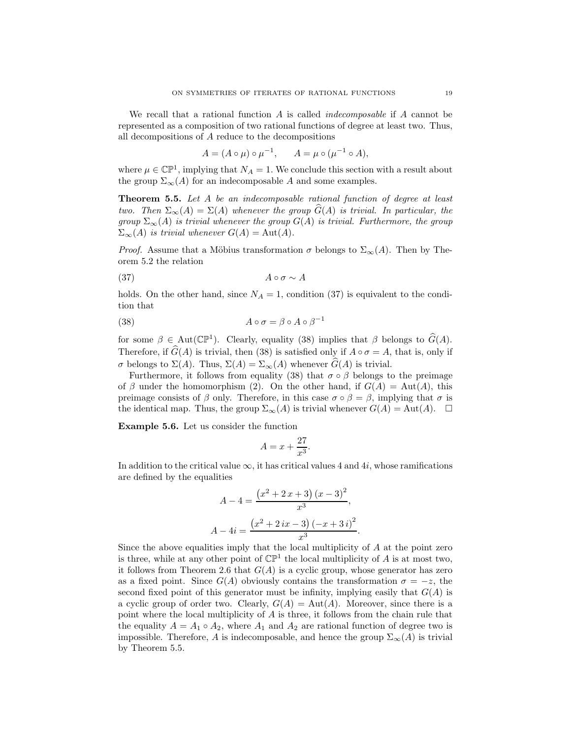We recall that a rational function A is called *indecomposable* if A cannot be represented as a composition of two rational functions of degree at least two. Thus, all decompositions of A reduce to the decompositions

$$
A = (A \circ \mu) \circ \mu^{-1}, \qquad A = \mu \circ (\mu^{-1} \circ A),
$$

where  $\mu \in \mathbb{CP}^1$ , implying that  $N_A = 1$ . We conclude this section with a result about the group  $\Sigma_{\infty}(A)$  for an indecomposable A and some examples.

Theorem 5.5. Let A be an indecomposable rational function of degree at least two. Then  $\Sigma_{\infty}(A) = \Sigma(A)$  whenever the group  $\widehat{G}(A)$  is trivial. In particular, the group  $\Sigma_{\infty}(A)$  is trivial whenever the group  $G(A)$  is trivial. Furthermore, the group  $\Sigma_{\infty}(A)$  is trivial whenever  $G(A) = \text{Aut}(A)$ .

*Proof.* Assume that a Möbius transformation  $\sigma$  belongs to  $\Sigma_{\infty}(A)$ . Then by Theorem 5.2 the relation

$$
(37) \t\t A \circ \sigma \sim A
$$

holds. On the other hand, since  $N_A = 1$ , condition (37) is equivalent to the condition that

(38) 
$$
A \circ \sigma = \beta \circ A \circ \beta^{-1}
$$

for some  $\beta \in Aut(\mathbb{CP}^1)$ . Clearly, equality (38) implies that  $\beta$  belongs to  $\widehat{G}(A)$ . Therefore, if  $\widehat{G}(A)$  is trivial, then (38) is satisfied only if  $A \circ \sigma = A$ , that is, only if σ belongs to  $\Sigma(A)$ . Thus,  $\Sigma(A) = \Sigma_{\infty}(A)$  whenever  $\widehat{G}(A)$  is trivial.

Furthermore, it follows from equality (38) that  $\sigma \circ \beta$  belongs to the preimage of β under the homomorphism (2). On the other hand, if  $G(A) = Aut(A)$ , this preimage consists of  $\beta$  only. Therefore, in this case  $\sigma \circ \beta = \beta$ , implying that  $\sigma$  is the identical map. Thus, the group  $\Sigma_{\infty}(A)$  is trivial whenever  $G(A) = \text{Aut}(A)$ .  $\square$ 

Example 5.6. Let us consider the function

$$
A = x + \frac{27}{x^3}.
$$

In addition to the critical value  $\infty$ , it has critical values 4 and 4*i*, whose ramifications are defined by the equalities

$$
A - 4 = \frac{(x^2 + 2x + 3)(x - 3)^2}{x^3},
$$
  

$$
A - 4i = \frac{(x^2 + 2ix - 3)(-x + 3i)^2}{x^3}
$$

.

Since the above equalities imply that the local multiplicity of A at the point zero is three, while at any other point of  $\mathbb{CP}^1$  the local multiplicity of A is at most two, it follows from Theorem 2.6 that  $G(A)$  is a cyclic group, whose generator has zero as a fixed point. Since  $G(A)$  obviously contains the transformation  $\sigma = -z$ , the second fixed point of this generator must be infinity, implying easily that  $G(A)$  is a cyclic group of order two. Clearly,  $G(A) = Aut(A)$ . Moreover, since there is a point where the local multiplicity of A is three, it follows from the chain rule that the equality  $A = A_1 \circ A_2$ , where  $A_1$  and  $A_2$  are rational function of degree two is impossible. Therefore, A is indecomposable, and hence the group  $\Sigma_{\infty}(A)$  is trivial by Theorem 5.5.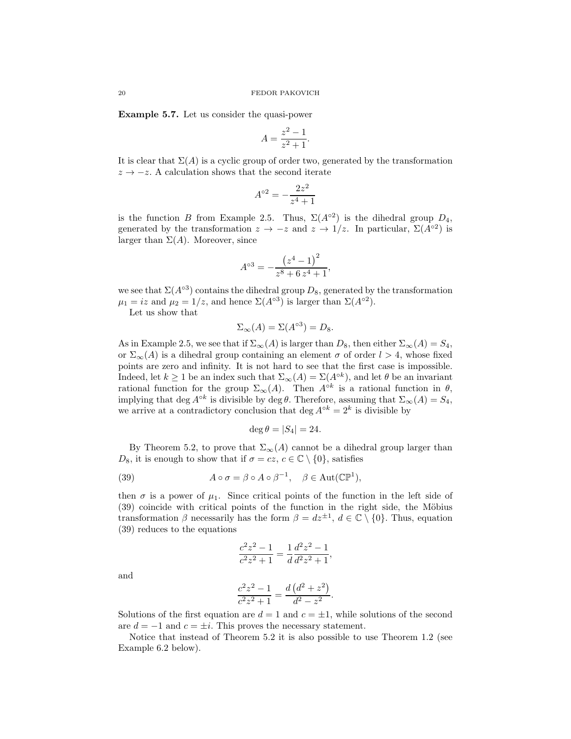Example 5.7. Let us consider the quasi-power

$$
A = \frac{z^2 - 1}{z^2 + 1}.
$$

It is clear that  $\Sigma(A)$  is a cyclic group of order two, generated by the transformation  $z \rightarrow -z$ . A calculation shows that the second iterate

$$
A^{\circ 2} = -\frac{2z^2}{z^4+1}
$$

is the function B from Example 2.5. Thus,  $\Sigma(A^{\circ 2})$  is the dihedral group  $D_4$ , generated by the transformation  $z \to -z$  and  $z \to 1/z$ . In particular,  $\Sigma(A^{\circ 2})$  is larger than  $\Sigma(A)$ . Moreover, since

$$
A^{\circ 3} = -\frac{(z^4 - 1)^2}{z^8 + 6z^4 + 1},
$$

we see that  $\Sigma(A^{\circ 3})$  contains the dihedral group  $D_8$ , generated by the transformation  $\mu_1 = iz$  and  $\mu_2 = 1/z$ , and hence  $\Sigma(A^{\circ 3})$  is larger than  $\Sigma(A^{\circ 2})$ .

Let us show that

$$
\Sigma_{\infty}(A) = \Sigma(A^{\circ 3}) = D_8.
$$

As in Example 2.5, we see that if  $\Sigma_{\infty}(A)$  is larger than  $D_8$ , then either  $\Sigma_{\infty}(A) = S_4$ , or  $\Sigma_{\infty}(A)$  is a dihedral group containing an element  $\sigma$  of order  $l > 4$ , whose fixed points are zero and infinity. It is not hard to see that the first case is impossible. Indeed, let  $k \geq 1$  be an index such that  $\Sigma_{\infty}(A) = \Sigma(A^{\circ k})$ , and let  $\theta$  be an invariant rational function for the group  $\Sigma_{\infty}(A)$ . Then  $A^{\circ k}$  is a rational function in  $\theta$ , implying that deg  $A^{\circ k}$  is divisible by deg  $\theta$ . Therefore, assuming that  $\Sigma_{\infty}(A) = S_4$ , we arrive at a contradictory conclusion that deg  $A^{\circ k} = 2^k$  is divisible by

$$
\deg \theta = |S_4| = 24.
$$

By Theorem 5.2, to prove that  $\Sigma_{\infty}(A)$  cannot be a dihedral group larger than  $D_8$ , it is enough to show that if  $\sigma = cz, c \in \mathbb{C} \setminus \{0\}$ , satisfies

(39) 
$$
A \circ \sigma = \beta \circ A \circ \beta^{-1}, \quad \beta \in \text{Aut}(\mathbb{CP}^1),
$$

then  $\sigma$  is a power of  $\mu_1$ . Since critical points of the function in the left side of  $(39)$  coincide with critical points of the function in the right side, the Möbius transformation  $\beta$  necessarily has the form  $\beta = dz^{\pm 1}$ ,  $d \in \mathbb{C} \setminus \{0\}$ . Thus, equation (39) reduces to the equations

$$
\frac{c^2z^2 - 1}{c^2z^2 + 1} = \frac{1}{d}\frac{d^2z^2 - 1}{d^2z^2 + 1},
$$

and

$$
\frac{c^2z^2 - 1}{c^2z^2 + 1} = \frac{d\left(d^2 + z^2\right)}{d^2 - z^2}.
$$

Solutions of the first equation are  $d = 1$  and  $c = \pm 1$ , while solutions of the second are  $d = -1$  and  $c = \pm i$ . This proves the necessary statement.

Notice that instead of Theorem 5.2 it is also possible to use Theorem 1.2 (see Example 6.2 below).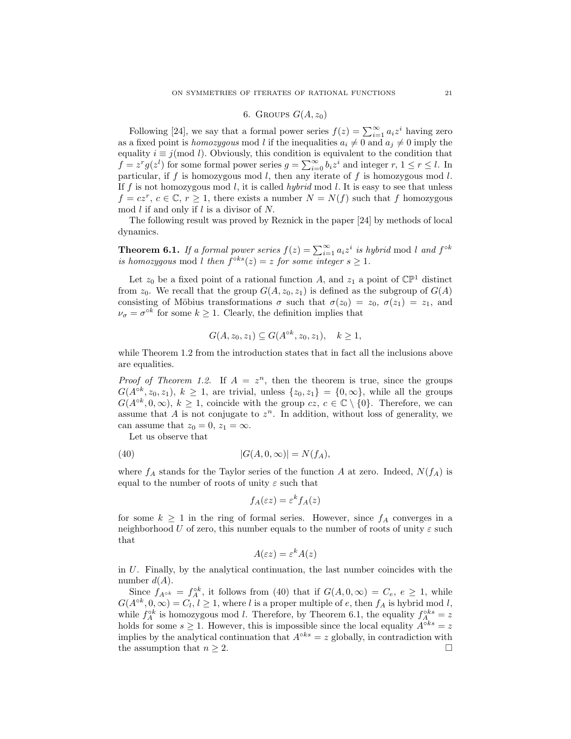# 6. GROUPS  $G(A, z_0)$

Following [24], we say that a formal power series  $f(z) = \sum_{i=1}^{\infty} a_i z^i$  having zero as a fixed point is homozygous mod l if the inequalities  $a_i \neq 0$  and  $a_j \neq 0$  imply the equality  $i \equiv j \pmod{l}$ . Obviously, this condition is equivalent to the condition that  $f = z^r g(z^l)$  for some formal power series  $g = \sum_{i=0}^{\infty} b_i z^i$  and integer  $r, 1 \le r \le l$ . In particular, if  $f$  is homozygous mod  $l$ , then any iterate of  $f$  is homozygous mod  $l$ . If f is not homozygous mod l, it is called hybrid mod l. It is easy to see that unless  $f = cz^r, c \in \mathbb{C}, r \ge 1$ , there exists a number  $N = N(f)$  such that f homozygous mod  $l$  if and only if  $l$  is a divisor of  $N$ .

The following result was proved by Reznick in the paper [24] by methods of local dynamics.

**Theorem 6.1.** If a formal power series  $f(z) = \sum_{i=1}^{\infty} a_i z^i$  is hybrid mod l and  $f^{\circ k}$ is homozygous mod l then  $f^{\circ ks}(z) = z$  for some integer  $s \geq 1$ .

Let  $z_0$  be a fixed point of a rational function A, and  $z_1$  a point of  $\mathbb{CP}^1$  distinct from  $z_0$ . We recall that the group  $G(A, z_0, z_1)$  is defined as the subgroup of  $G(A)$ consisting of Möbius transformations  $\sigma$  such that  $\sigma(z_0) = z_0, \sigma(z_1) = z_1$ , and  $\nu_{\sigma} = \sigma^{\circ k}$  for some  $k \geq 1$ . Clearly, the definition implies that

$$
G(A, z_0, z_1) \subseteq G(A^{ok}, z_0, z_1), \quad k \ge 1,
$$

while Theorem 1.2 from the introduction states that in fact all the inclusions above are equalities.

*Proof of Theorem 1.2.* If  $A = z^n$ , then the theorem is true, since the groups  $G(A^{\circ k}, z_0, z_1), k \ge 1$ , are trivial, unless  $\{z_0, z_1\} = \{0, \infty\}$ , while all the groups  $G(A^{\circ k}, 0, \infty)$ ,  $k \geq 1$ , coincide with the group  $cz, c \in \mathbb{C} \setminus \{0\}$ . Therefore, we can assume that A is not conjugate to  $z^n$ . In addition, without loss of generality, we can assume that  $z_0 = 0$ ,  $z_1 = \infty$ .

Let us observe that

$$
(40) \qquad |G(A,0,\infty)| = N(f_A),
$$

where  $f_A$  stands for the Taylor series of the function A at zero. Indeed,  $N(f_A)$  is equal to the number of roots of unity  $\varepsilon$  such that

$$
f_A(\varepsilon z) = \varepsilon^k f_A(z)
$$

for some  $k \geq 1$  in the ring of formal series. However, since  $f_A$  converges in a neighborhood U of zero, this number equals to the number of roots of unity  $\varepsilon$  such that

$$
A(\varepsilon z) = \varepsilon^k A(z)
$$

in U. Finally, by the analytical continuation, the last number coincides with the number  $d(A)$ .

Since  $f_{A^{\circ k}} = f_A^{\circ k}$ , it follows from (40) that if  $G(A, 0, \infty) = C_e$ ,  $e \ge 1$ , while  $G(A^{\circ k}, 0, \infty) = C_l, l \geq 1$ , where l is a proper multiple of e, then  $f_A$  is hybrid mod l, while  $f_A^{\circ k}$  is homozygous mod l. Therefore, by Theorem 6.1, the equality  $f_{A_i}^{\circ ks} = z$ holds for some  $s \geq 1$ . However, this is impossible since the local equality  $A^{\circ ks} = z$ implies by the analytical continuation that  $A^{\circ ks} = z$  globally, in contradiction with the assumption that  $n \geq 2$ .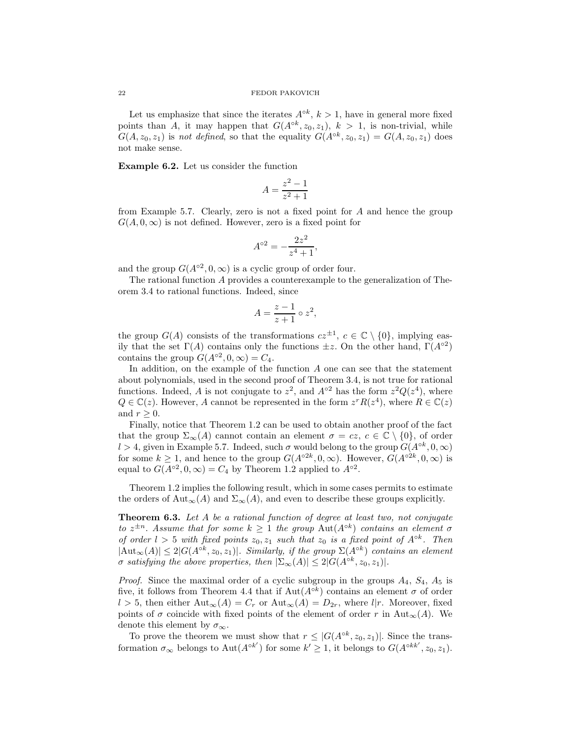Let us emphasize that since the iterates  $A^{\circ k}$ ,  $k > 1$ , have in general more fixed points than A, it may happen that  $G(A^{ok}, z_0, z_1)$ ,  $k > 1$ , is non-trivial, while  $G(A, z_0, z_1)$  is not defined, so that the equality  $G(A^{ok}, z_0, z_1) = G(A, z_0, z_1)$  does not make sense.

Example 6.2. Let us consider the function

$$
A = \frac{z^2 - 1}{z^2 + 1}
$$

from Example 5.7. Clearly, zero is not a fixed point for A and hence the group  $G(A, 0, \infty)$  is not defined. However, zero is a fixed point for

$$
A^{\circ 2} = -\frac{2z^2}{z^4 + 1},
$$

and the group  $G(A^{\circ 2}, 0, \infty)$  is a cyclic group of order four.

The rational function A provides a counterexample to the generalization of Theorem 3.4 to rational functions. Indeed, since

$$
A = \frac{z-1}{z+1} \circ z^2,
$$

the group  $G(A)$  consists of the transformations  $cz^{\pm 1}$ ,  $c \in \mathbb{C} \setminus \{0\}$ , implying easily that the set  $\Gamma(A)$  contains only the functions  $\pm z$ . On the other hand,  $\Gamma(A^{\circ 2})$ contains the group  $G(A^{\circ 2}, 0, \infty) = C_4$ .

In addition, on the example of the function  $A$  one can see that the statement about polynomials, used in the second proof of Theorem 3.4, is not true for rational functions. Indeed, A is not conjugate to  $z^2$ , and  $A^{\circ 2}$  has the form  $z^2 Q(z^4)$ , where  $Q \in \mathbb{C}(z)$ . However, A cannot be represented in the form  $z^r R(z^4)$ , where  $R \in \mathbb{C}(z)$ and  $r > 0$ .

Finally, notice that Theorem 1.2 can be used to obtain another proof of the fact that the group  $\Sigma_{\infty}(A)$  cannot contain an element  $\sigma = cz, c \in \mathbb{C} \setminus \{0\}$ , of order l > 4, given in Example 5.7. Indeed, such  $\sigma$  would belong to the group  $G(A^{\circ k}, 0, \infty)$ for some  $k \geq 1$ , and hence to the group  $G(A^{\circ 2k}, 0, \infty)$ . However,  $G(A^{\circ 2k}, 0, \infty)$  is equal to  $G(A^{\circ 2}, 0, \infty) = C_4$  by Theorem 1.2 applied to  $A^{\circ 2}$ .

Theorem 1.2 implies the following result, which in some cases permits to estimate the orders of Aut<sub>∞</sub>(A) and  $\Sigma_{\infty}(A)$ , and even to describe these groups explicitly.

Theorem 6.3. Let A be a rational function of degree at least two, not conjugate to  $z^{\pm n}$ . Assume that for some  $k \geq 1$  the group  $\text{Aut}(A^{\circ k})$  contains an element  $\sigma$ of order  $l > 5$  with fixed points  $z_0, z_1$  such that  $z_0$  is a fixed point of  $A^{\circ k}$ . Then  $|\text{Aut}_{\infty}(A)| \leq 2|G(A^{\circ k}, z_0, z_1)|$ . Similarly, if the group  $\Sigma(A^{\circ k})$  contains an element  $\sigma$  satisfying the above properties, then  $|\Sigma_{\infty}(A)| \leq 2|G(A^{\circ k}, z_0, z_1)|$ .

*Proof.* Since the maximal order of a cyclic subgroup in the groups  $A_4$ ,  $S_4$ ,  $A_5$  is five, it follows from Theorem 4.4 that if  $Aut(A^{\circ k})$  contains an element  $\sigma$  of order  $l > 5$ , then either  ${\rm Aut}_{\infty}(A) = C_r$  or  ${\rm Aut}_{\infty}(A) = D_{2r}$ , where  $l|r$ . Moreover, fixed points of  $\sigma$  coincide with fixed points of the element of order r in Aut<sub>∞</sub>(A). We denote this element by  $\sigma_{\infty}$ .

To prove the theorem we must show that  $r \leq |G(A^{\circ k}, z_0, z_1)|$ . Since the transformation  $\sigma_{\infty}$  belongs to Aut $(A^{\circ k'})$  for some  $k' \geq 1$ , it belongs to  $G(A^{\circ k k'}, z_0, z_1)$ .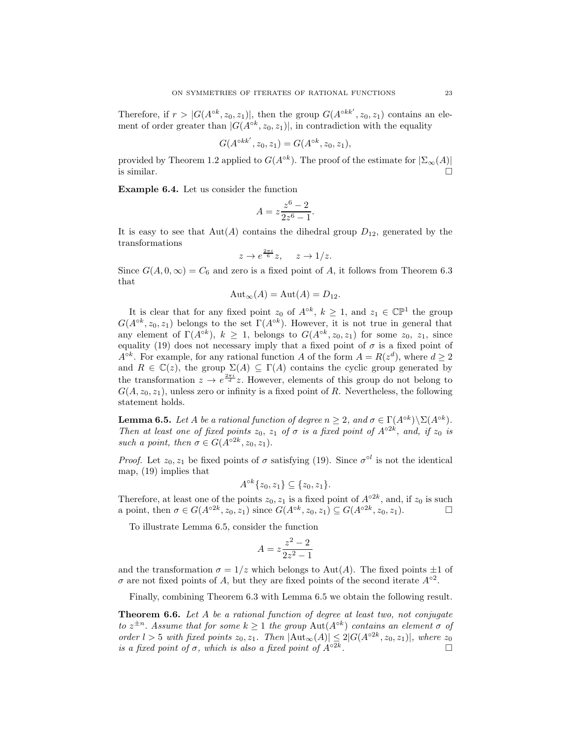Therefore, if  $r > |G(A^{\circ k}, z_0, z_1)|$ , then the group  $G(A^{\circ k k'}, z_0, z_1)$  contains an element of order greater than  $|G(A^{ok}, z_0, z_1)|$ , in contradiction with the equality

$$
G(A^{\circ k k'}, z_0, z_1) = G(A^{\circ k}, z_0, z_1),
$$

provided by Theorem 1.2 applied to  $G(A^{\circ k})$ . The proof of the estimate for  $|\Sigma_{\infty}(A)|$ is similar.  $\Box$ 

Example 6.4. Let us consider the function

$$
A = z \frac{z^6 - 2}{2z^6 - 1}.
$$

It is easy to see that  $\text{Aut}(A)$  contains the dihedral group  $D_{12}$ , generated by the transformations

$$
z \to e^{\frac{2\pi i}{6}}z, \quad z \to 1/z.
$$

Since  $G(A, 0, \infty) = C_6$  and zero is a fixed point of A, it follows from Theorem 6.3 that

$$
Aut_{\infty}(A) = Aut(A) = D_{12}.
$$

It is clear that for any fixed point  $z_0$  of  $A^{\circ k}$ ,  $k \ge 1$ , and  $z_1 \in \mathbb{CP}^1$  the group  $G(A^{\circ k}, z_0, z_1)$  belongs to the set  $\Gamma(A^{\circ k})$ . However, it is not true in general that any element of  $\Gamma(A^{\circ k})$ ,  $k \geq 1$ , belongs to  $G(A^{\circ k}, z_0, z_1)$  for some  $z_0$ ,  $z_1$ , since equality (19) does not necessary imply that a fixed point of  $\sigma$  is a fixed point of  $A^{\circ k}$ . For example, for any rational function A of the form  $A = R(z^d)$ , where  $d \ge 2$ and  $R \in \mathbb{C}(z)$ , the group  $\Sigma(A) \subseteq \Gamma(A)$  contains the cyclic group generated by the transformation  $z \to e^{\frac{2\pi i}{d}}z$ . However, elements of this group do not belong to  $G(A, z_0, z_1)$ , unless zero or infinity is a fixed point of R. Nevertheless, the following statement holds.

**Lemma 6.5.** Let A be a rational function of degree  $n \geq 2$ , and  $\sigma \in \Gamma(A^{\circ k}) \setminus \Sigma(A^{\circ k})$ . Then at least one of fixed points  $z_0$ ,  $z_1$  of  $\sigma$  is a fixed point of  $A^{\circ 2k}$ , and, if  $z_0$  is such a point, then  $\sigma \in G(A^{\circ 2k}, z_0, z_1)$ .

*Proof.* Let  $z_0, z_1$  be fixed points of  $\sigma$  satisfying (19). Since  $\sigma^{\circ l}$  is not the identical map, (19) implies that

$$
A^{\circ k}\{z_0, z_1\} \subseteq \{z_0, z_1\}.
$$

Therefore, at least one of the points  $z_0, z_1$  is a fixed point of  $A^{\circ 2k}$ , and, if  $z_0$  is such a point, then  $\sigma \in G(A^{\circ 2k}, z_0, z_1)$  since  $G(A^{\circ k}, z_0, z_1) \subseteq G(A^{\circ 2k}, z_0, z_1)$ .

To illustrate Lemma 6.5, consider the function

$$
A = z \frac{z^2 - 2}{2z^2 - 1}
$$

and the transformation  $\sigma = 1/z$  which belongs to Aut(A). The fixed points  $\pm 1$  of  $\sigma$  are not fixed points of A, but they are fixed points of the second iterate  $A^{\circ 2}$ .

Finally, combining Theorem 6.3 with Lemma 6.5 we obtain the following result.

**Theorem 6.6.** Let  $A$  be a rational function of degree at least two, not conjugate to  $z^{\pm n}$ . Assume that for some  $k \geq 1$  the group  $\text{Aut}(A^{\circ k})$  contains an element  $\sigma$  of order  $l > 5$  with fixed points  $z_0, z_1$ . Then  $|\text{Aut}_{\infty}(A)| \leq 2|G(A^{\circ 2k}, z_0, z_1)|$ , where  $z_0$ is a fixed point of  $\sigma$ , which is also a fixed point of  $A^{\circ 2k}$ . .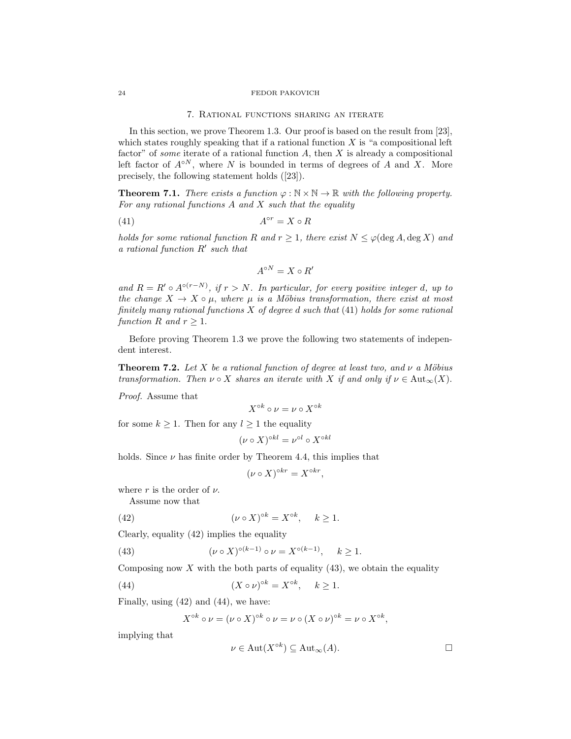### 7. Rational functions sharing an iterate

In this section, we prove Theorem 1.3. Our proof is based on the result from [23], which states roughly speaking that if a rational function  $X$  is "a compositional left factor" of *some* iterate of a rational function  $A$ , then  $X$  is already a compositional left factor of  $A^{\circ N}$ , where N is bounded in terms of degrees of A and X. More precisely, the following statement holds ([23]).

**Theorem 7.1.** There exists a function  $\varphi : \mathbb{N} \times \mathbb{N} \to \mathbb{R}$  with the following property. For any rational functions  $A$  and  $X$  such that the equality

$$
(41) \t\t A^{\circ r} = X \circ R
$$

holds for some rational function R and  $r \geq 1$ , there exist  $N \leq \varphi(\deg A, \deg X)$  and a rational function R′ such that

$$
A^{\circ N} = X \circ R'
$$

and  $R = R' \circ A^{\circ (r-N)}$ , if  $r > N$ . In particular, for every positive integer d, up to the change  $X \to X \circ \mu$ , where  $\mu$  is a Möbius transformation, there exist at most finitely many rational functions  $X$  of degree d such that  $(41)$  holds for some rational function R and  $r \geq 1$ .

Before proving Theorem 1.3 we prove the following two statements of independent interest.

**Theorem 7.2.** Let X be a rational function of degree at least two, and  $\nu$  a Möbius transformation. Then  $\nu \circ X$  shares an iterate with X if and only if  $\nu \in \text{Aut}_{\infty}(X)$ .

Proof. Assume that

$$
X^{\circ k} \circ \nu = \nu \circ X^{\circ k}
$$

for some  $k \geq 1$ . Then for any  $l \geq 1$  the equality

$$
(\nu \circ X)^{\circ kl} = \nu^{\circ l} \circ X^{\circ kl}
$$

holds. Since  $\nu$  has finite order by Theorem 4.4, this implies that

$$
(\nu \circ X)^{\circ kr} = X^{\circ kr},
$$

where r is the order of  $\nu$ .

Assume now that

(42) 
$$
(\nu \circ X)^{\circ k} = X^{\circ k}, \quad k \ge 1.
$$

Clearly, equality (42) implies the equality

(43) 
$$
(\nu \circ X)^{\circ (k-1)} \circ \nu = X^{\circ (k-1)}, \quad k \ge 1.
$$

Composing now  $X$  with the both parts of equality (43), we obtain the equality

(44) 
$$
(X \circ \nu)^{\circ k} = X^{\circ k}, \quad k \ge 1.
$$

Finally, using (42) and (44), we have:

$$
X^{\circ k} \circ \nu = (\nu \circ X)^{\circ k} \circ \nu = \nu \circ (X \circ \nu)^{\circ k} = \nu \circ X^{\circ k},
$$

implying that

$$
\nu \in \mathrm{Aut}(X^{\circ k}) \subseteq \mathrm{Aut}_{\infty}(A). \square
$$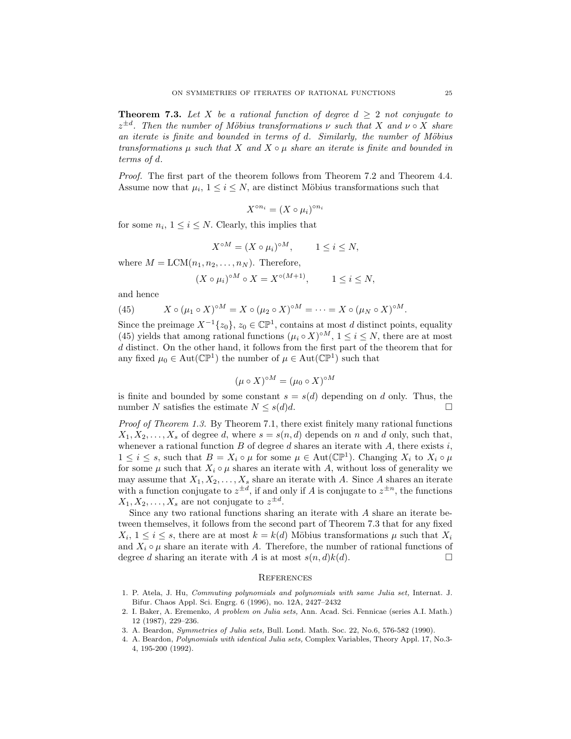**Theorem 7.3.** Let X be a rational function of degree  $d \geq 2$  not conjugate to  $z^{\pm d}$ . Then the number of Möbius transformations  $\nu$  such that X and  $\nu \circ X$  share an iterate is finite and bounded in terms of  $d$ . Similarly, the number of Möbius transformations  $\mu$  such that X and  $X \circ \mu$  share an iterate is finite and bounded in terms of d.

Proof. The first part of the theorem follows from Theorem 7.2 and Theorem 4.4. Assume now that  $\mu_i$ ,  $1 \leq i \leq N$ , are distinct Möbius transformations such that

$$
X^{\circ n_i} = (X \circ \mu_i)^{\circ n_i}
$$

for some  $n_i$ ,  $1 \leq i \leq N$ . Clearly, this implies that

$$
X^{\circ M} = (X \circ \mu_i)^{\circ M}, \qquad 1 \le i \le N,
$$

where  $M = LCM(n_1, n_2, \ldots, n_N)$ . Therefore,

$$
(X \circ \mu_i)^{\circ M} \circ X = X^{\circ (M+1)}, \qquad 1 \le i \le N,
$$

and hence

(45) 
$$
X \circ (\mu_1 \circ X)^{\circ M} = X \circ (\mu_2 \circ X)^{\circ M} = \cdots = X \circ (\mu_N \circ X)^{\circ M}.
$$

Since the preimage  $X^{-1}\{z_0\}$ ,  $z_0 \in \mathbb{CP}^1$ , contains at most d distinct points, equality (45) yields that among rational functions  $(\mu_i \circ X)^{\circ M}$ ,  $1 \le i \le N$ , there are at most d distinct. On the other hand, it follows from the first part of the theorem that for any fixed  $\mu_0 \in \text{Aut}(\mathbb{CP}^1)$  the number of  $\mu \in \text{Aut}(\mathbb{CP}^1)$  such that

$$
(\mu \circ X)^{\circ M} = (\mu_0 \circ X)^{\circ M}
$$

is finite and bounded by some constant  $s = s(d)$  depending on d only. Thus, the number N satisfies the estimate  $N \leq s(d)d$ .

Proof of Theorem 1.3. By Theorem 7.1, there exist finitely many rational functions  $X_1, X_2, \ldots, X_s$  of degree d, where  $s = s(n, d)$  depends on n and d only, such that, whenever a rational function  $B$  of degree  $d$  shares an iterate with  $A$ , there exists  $i$ ,  $1 \leq i \leq s$ , such that  $B = X_i \circ \mu$  for some  $\mu \in \text{Aut}(\mathbb{CP}^1)$ . Changing  $X_i$  to  $X_i \circ \mu$ for some  $\mu$  such that  $X_i \circ \mu$  shares an iterate with A, without loss of generality we may assume that  $X_1, X_2, \ldots, X_s$  share an iterate with A. Since A shares an iterate with a function conjugate to  $z^{\pm d}$ , if and only if A is conjugate to  $z^{\pm n}$ , the functions  $X_1, X_2, \ldots, X_s$  are not conjugate to  $z^{\pm d}$ .

Since any two rational functions sharing an iterate with A share an iterate between themselves, it follows from the second part of Theorem 7.3 that for any fixed  $X_i, 1 \leq i \leq s$ , there are at most  $k = k(d)$  Möbius transformations  $\mu$  such that  $X_i$ and  $X_i \circ \mu$  share an iterate with A. Therefore, the number of rational functions of degree d sharing an iterate with A is at most  $s(n, d)k(d)$ degree d sharing an iterate with A is at most  $s(n,d)k(d)$ .

### **REFERENCES**

- 1. P. Atela, J. Hu, Commuting polynomials and polynomials with same Julia set, Internat. J. Bifur. Chaos Appl. Sci. Engrg. 6 (1996), no. 12A, 2427–2432
- 2. I. Baker, A. Eremenko, A problem on Julia sets, Ann. Acad. Sci. Fennicae (series A.I. Math.) 12 (1987), 229–236.
- 3. A. Beardon, Symmetries of Julia sets, Bull. Lond. Math. Soc. 22, No.6, 576-582 (1990).
- 4. A. Beardon, Polynomials with identical Julia sets, Complex Variables, Theory Appl. 17, No.3- 4, 195-200 (1992).